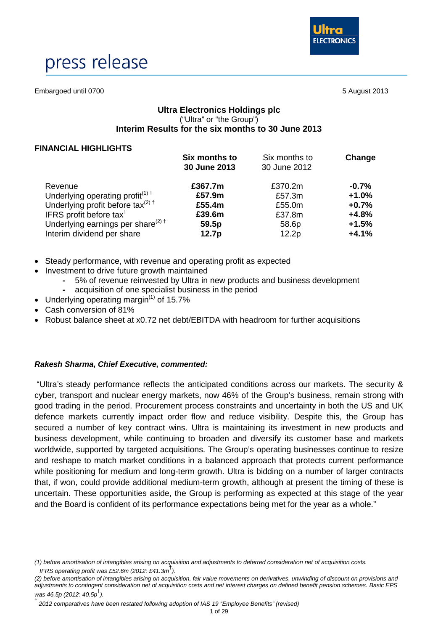

# press release

Embargoed until 0700 **5** August 2013

# **Ultra Electronics Holdings plc** ("Ultra" or "the Group") **Interim Results for the six months to 30 June 2013**

# **FINANCIAL HIGHLIGHTS**

|                                                                                               | Six months to<br>30 June 2013 | Six months to<br>30 June 2012 | Change  |
|-----------------------------------------------------------------------------------------------|-------------------------------|-------------------------------|---------|
| Revenue                                                                                       | £367.7m                       | £370.2m                       | $-0.7%$ |
|                                                                                               | £57.9m                        | £57.3m                        | $+1.0%$ |
| Underlying operating profit <sup>(1) †</sup><br>Underlying profit before tax <sup>(2) †</sup> | £55.4m                        | £55.0m                        | $+0.7%$ |
| IFRS profit before tax <sup>t</sup>                                                           | £39.6m                        | £37.8m                        | $+4.8%$ |
| Underlying earnings per share <sup>(2) <math>\dagger</math></sup>                             | 59.5p                         | 58.6p                         | $+1.5%$ |
| Interim dividend per share                                                                    | 12.7p                         | 12.2p                         | $+4.1%$ |

- Steady performance, with revenue and operating profit as expected
- Investment to drive future growth maintained
	- **-** 5% of revenue reinvested by Ultra in new products and business development **-** acquisition of one specialist business in the period
- Underlying operating margin<sup>(1)</sup> of 15.7%
- Cash conversion of 81%
- Robust balance sheet at x0.72 net debt/EBITDA with headroom for further acquisitions

# *Rakesh Sharma, Chief Executive, commented:*

"Ultra's steady performance reflects the anticipated conditions across our markets. The security & cyber, transport and nuclear energy markets, now 46% of the Group's business, remain strong with good trading in the period. Procurement process constraints and uncertainty in both the US and UK defence markets currently impact order flow and reduce visibility. Despite this, the Group has secured a number of key contract wins. Ultra is maintaining its investment in new products and business development, while continuing to broaden and diversify its customer base and markets worldwide, supported by targeted acquisitions. The Group's operating businesses continue to resize and reshape to match market conditions in a balanced approach that protects current performance while positioning for medium and long-term growth. Ultra is bidding on a number of larger contracts that, if won, could provide additional medium-term growth, although at present the timing of these is uncertain. These opportunities aside, the Group is performing as expected at this stage of the year and the Board is confident of its performance expectations being met for the year as a whole."

*<sup>(1)</sup> before amortisation of intangibles arising on acquisition and adjustments to deferred consideration net of acquisition costs. IFRS operating profit was £52.6m (2012: £41.3m*† *).* 

*<sup>(2)</sup> before amortisation of intangibles arising on acquisition, fair value movements on derivatives, unwinding of discount on provisions and adjustments to contingent consideration net of acquisition costs and net interest charges on defined benefit pension schemes. Basic EPS was 46.5p (2012: 40.5p*† *).*

<sup>†</sup> *2012 comparatives have been restated following adoption of IAS 19 "Employee Benefits" (revised)*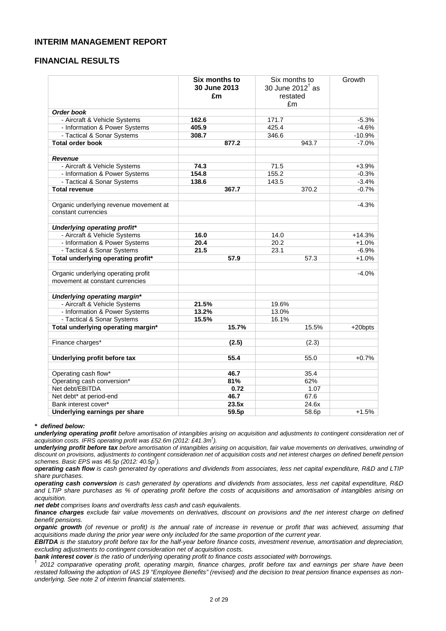# **INTERIM MANAGEMENT REPORT**

# **FINANCIAL RESULTS**

|                                                                        | Six months to<br>30 June 2013<br>£m | Six months to<br>30 June 2012 $†$ as<br>restated<br>£m | Growth   |  |
|------------------------------------------------------------------------|-------------------------------------|--------------------------------------------------------|----------|--|
| Order book                                                             |                                     |                                                        |          |  |
| - Aircraft & Vehicle Systems                                           | 162.6                               | 171.7                                                  | $-5.3%$  |  |
| - Information & Power Systems                                          | 405.9                               | 425.4                                                  | $-4.6%$  |  |
| - Tactical & Sonar Systems                                             | 308.7                               | 346.6                                                  | $-10.9%$ |  |
| <b>Total order book</b>                                                | 877.2                               | 943.7                                                  | $-7.0%$  |  |
|                                                                        |                                     |                                                        |          |  |
| <b>Revenue</b>                                                         |                                     |                                                        |          |  |
| - Aircraft & Vehicle Systems                                           | 74.3                                | 71.5                                                   | $+3.9%$  |  |
| - Information & Power Systems                                          | 154.8                               | 155.2                                                  | $-0.3%$  |  |
| - Tactical & Sonar Systems                                             | 138.6                               | 143.5                                                  | $-3.4%$  |  |
| <b>Total revenue</b>                                                   | 367.7                               | 370.2                                                  | $-0.7%$  |  |
| Organic underlying revenue movement at<br>constant currencies          |                                     |                                                        | $-4.3%$  |  |
| <b>Underlying operating profit*</b>                                    |                                     |                                                        |          |  |
| - Aircraft & Vehicle Systems                                           | 16.0                                | 14.0                                                   | $+14.3%$ |  |
| - Information & Power Systems                                          | 20.4                                | 20.2                                                   | $+1.0%$  |  |
| - Tactical & Sonar Systems                                             | 21.5                                | 23.1                                                   | $-6.9%$  |  |
| Total underlying operating profit*                                     | 57.9                                | 57.3                                                   | $+1.0%$  |  |
| Organic underlying operating profit<br>movement at constant currencies |                                     |                                                        | $-4.0%$  |  |
| Underlying operating margin*                                           |                                     |                                                        |          |  |
| - Aircraft & Vehicle Systems                                           | 21.5%                               | 19.6%                                                  |          |  |
| - Information & Power Systems                                          | 13.2%                               | 13.0%                                                  |          |  |
| - Tactical & Sonar Systems                                             | 15.5%                               | 16.1%                                                  |          |  |
| Total underlying operating margin*                                     | 15.7%                               | 15.5%                                                  | +20bpts  |  |
| Finance charges*                                                       | (2.5)                               | (2.3)                                                  |          |  |
| Underlying profit before tax                                           | 55.4                                | 55.0                                                   | $+0.7%$  |  |
| Operating cash flow*                                                   | 46.7                                | 35.4                                                   |          |  |
| Operating cash conversion*                                             | 81%                                 | 62%                                                    |          |  |
| Net debt/EBITDA                                                        | 0.72                                | 1.07                                                   |          |  |
| Net debt* at period-end                                                | 46.7                                | 67.6                                                   |          |  |
| Bank interest cover*                                                   | 23.5x                               | 24.6x                                                  |          |  |
| Underlying earnings per share                                          | 59.5p                               | 58.6p                                                  | $+1.5%$  |  |

#### *\* defined below:*

*underlying operating profit before amortisation of intangibles arising on acquisition and adjustments to contingent consideration net of acquisition costs. IFRS operating profit was £52.6m (2012: £41.3m*† *).*

*underlying profit before tax before amortisation of intangibles arising on acquisition, fair value movements on derivatives, unwinding of discount on provisions, adjustments to contingent consideration net of acquisition costs and net interest charges on defined benefit pension schemes. Basic EPS was 46.5p (2012: 40.5p*† *).*

*operating cash flow is cash generated by operations and dividends from associates, less net capital expenditure, R&D and LTIP share purchases.*

*operating cash conversion is cash generated by operations and dividends from associates, less net capital expenditure, R&D and LTIP share purchases as % of operating profit before the costs of acquisitions and amortisation of intangibles arising on acquisition.*

*net debt comprises loans and overdrafts less cash and cash equivalents.*

*finance charges exclude fair value movements on derivatives, discount on provisions and the net interest charge on defined benefit pensions.*

*organic growth (of revenue or profit) is the annual rate of increase in revenue or profit that was achieved, assuming that acquisitions made during the prior year were only included for the same proportion of the current year.*

*EBITDA is the statutory profit before tax for the half-year before finance costs, investment revenue, amortisation and depreciation, excluding adjustments to contingent consideration net of acquisition costs.* 

*bank interest cover is the ratio of underlying operating profit to finance costs associated with borrowings.*

† *2012 comparative operating profit, operating margin, finance charges, profit before tax and earnings per share have been restated following the adoption of IAS 19 "Employee Benefits" (revised) and the decision to treat pension finance expenses as nonunderlying. See note 2 of interim financial statements.*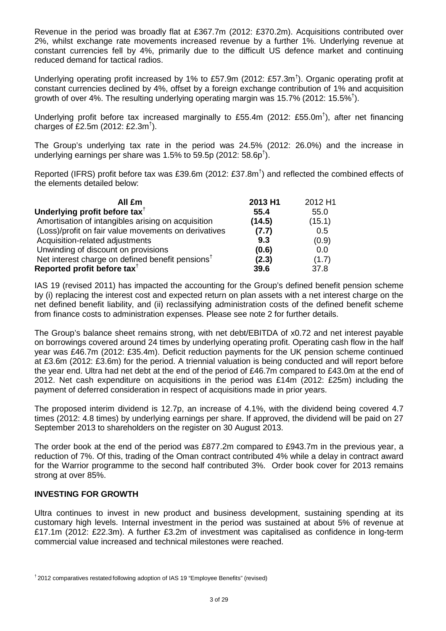Revenue in the period was broadly flat at £367.7m (2012: £370.2m). Acquisitions contributed over 2%, whilst exchange rate movements increased revenue by a further 1%. Underlying revenue at constant currencies fell by 4%, primarily due to the difficult US defence market and continuing reduced demand for tactical radios.

Underlying operating profit increased by 1% to £57.9m (2012: £57.3m<sup>†</sup>). Organic operating profit at constant currencies declined by 4%, offset by a foreign exchange contribution of 1% and acquisition growth of over 4%. The resulting underlying operating margin was 15.7% (2012: 15.5%† ).

Underlying profit before tax increased marginally to £55.4m (2012: £55.0m† ), after net financing charges of £2.5m (2012: £2.3m<sup>†</sup>).

The Group's underlying tax rate in the period was 24.5% (2012: 26.0%) and the increase in underlying earnings per share was 1.5% to 59.5p (2012: 58.6p<sup>†</sup>).

Reported (IFRS) profit before tax was £39.6m (2012: £37.8m† ) and reflected the combined effects of the elements detailed below:

| All £m                                                       | 2013 H1 | 2012 H1 |
|--------------------------------------------------------------|---------|---------|
| Underlying profit before tax <sup>†</sup>                    | 55.4    | 55.0    |
| Amortisation of intangibles arising on acquisition           | (14.5)  | (15.1)  |
| (Loss)/profit on fair value movements on derivatives         | (7.7)   | 0.5     |
| Acquisition-related adjustments                              | 9.3     | (0.9)   |
| Unwinding of discount on provisions                          | (0.6)   | 0.0     |
| Net interest charge on defined benefit pensions <sup>†</sup> | (2.3)   | (1.7)   |
| Reported profit before tax <sup>†</sup>                      | 39.6    | 37.8    |

IAS 19 (revised 2011) has impacted the accounting for the Group's defined benefit pension scheme by (i) replacing the interest cost and expected return on plan assets with a net interest charge on the net defined benefit liability, and (ii) reclassifying administration costs of the defined benefit scheme from finance costs to administration expenses. Please see note 2 for further details.

The Group's balance sheet remains strong, with net debt/EBITDA of x0.72 and net interest payable on borrowings covered around 24 times by underlying operating profit. Operating cash flow in the half year was £46.7m (2012: £35.4m). Deficit reduction payments for the UK pension scheme continued at £3.6m (2012: £3.6m) for the period. A triennial valuation is being conducted and will report before the year end. Ultra had net debt at the end of the period of £46.7m compared to £43.0m at the end of 2012. Net cash expenditure on acquisitions in the period was £14m (2012: £25m) including the payment of deferred consideration in respect of acquisitions made in prior years.

The proposed interim dividend is 12.7p, an increase of 4.1%, with the dividend being covered 4.7 times (2012: 4.8 times) by underlying earnings per share. If approved, the dividend will be paid on 27 September 2013 to shareholders on the register on 30 August 2013.

The order book at the end of the period was £877.2m compared to £943.7m in the previous year, a reduction of 7%. Of this, trading of the Oman contract contributed 4% while a delay in contract award for the Warrior programme to the second half contributed 3%. Order book cover for 2013 remains strong at over 85%.

# **INVESTING FOR GROWTH**

Ultra continues to invest in new product and business development, sustaining spending at its customary high levels. Internal investment in the period was sustained at about 5% of revenue at £17.1m (2012: £22.3m). A further £3.2m of investment was capitalised as confidence in long-term commercial value increased and technical milestones were reached.

<sup>† 2012</sup> comparatives restated following adoption of IAS 19 "Employee Benefits" (revised)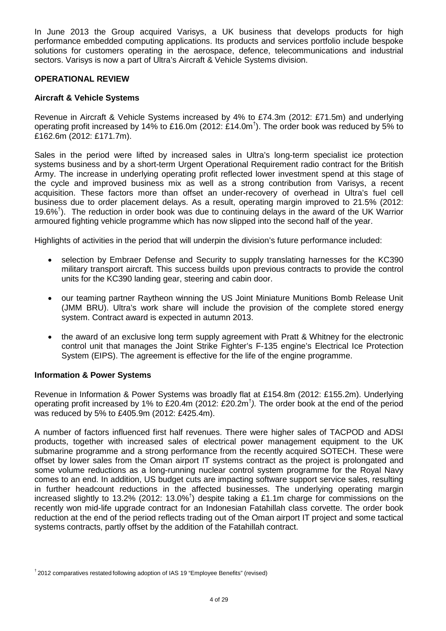In June 2013 the Group acquired Varisys, a UK business that develops products for high performance embedded computing applications. Its products and services portfolio include bespoke solutions for customers operating in the aerospace, defence, telecommunications and industrial sectors. Varisys is now a part of Ultra's Aircraft & Vehicle Systems division.

# **OPERATIONAL REVIEW**

# **Aircraft & Vehicle Systems**

Revenue in Aircraft & Vehicle Systems increased by 4% to £74.3m (2012: £71.5m) and underlying operating profit increased by 14% to £16.0m (2012: £14.0m<sup>†</sup>). The order book was reduced by 5% to £162.6m (2012: £171.7m).

Sales in the period were lifted by increased sales in Ultra's long-term specialist ice protection systems business and by a short-term Urgent Operational Requirement radio contract for the British Army. The increase in underlying operating profit reflected lower investment spend at this stage of the cycle and improved business mix as well as a strong contribution from Varisys, a recent acquisition. These factors more than offset an under-recovery of overhead in Ultra's fuel cell business due to order placement delays. As a result, operating margin improved to 21.5% (2012: 19.6%† ). The reduction in order book was due to continuing delays in the award of the UK Warrior armoured fighting vehicle programme which has now slipped into the second half of the year.

Highlights of activities in the period that will underpin the division's future performance included:

- selection by Embraer Defense and Security to supply translating harnesses for the KC390 military transport aircraft. This success builds upon previous contracts to provide the control units for the KC390 landing gear, steering and cabin door.
- our teaming partner Raytheon winning the US Joint Miniature Munitions Bomb Release Unit (JMM BRU). Ultra's work share will include the provision of the complete stored energy system. Contract award is expected in autumn 2013.
- the award of an exclusive long term supply agreement with Pratt & Whitney for the electronic control unit that manages the Joint Strike Fighter's F-135 engine's Electrical Ice Protection System (EIPS). The agreement is effective for the life of the engine programme.

# **Information & Power Systems**

Revenue in Information & Power Systems was broadly flat at £154.8m (2012: £155.2m). Underlying operating profit increased by 1% to £20.4m (2012: £20.2m† *).* The order book at the end of the period was reduced by 5% to £405.9m (2012: £425.4m).

A number of factors influenced first half revenues. There were higher sales of TACPOD and ADSI products, together with increased sales of electrical power management equipment to the UK submarine programme and a strong performance from the recently acquired SOTECH. These were offset by lower sales from the Oman airport IT systems contract as the project is prolongated and some volume reductions as a long-running nuclear control system programme for the Royal Navy comes to an end. In addition, US budget cuts are impacting software support service sales, resulting in further headcount reductions in the affected businesses. The underlying operating margin increased slightly to 13.2% (2012: 13.0%† ) despite taking a £1.1m charge for commissions on the recently won mid-life upgrade contract for an Indonesian Fatahillah class corvette. The order book reduction at the end of the period reflects trading out of the Oman airport IT project and some tactical systems contracts, partly offset by the addition of the Fatahillah contract.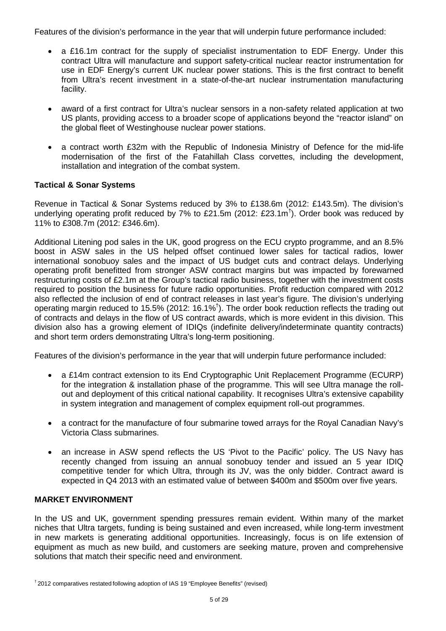Features of the division's performance in the year that will underpin future performance included:

- a £16.1m contract for the supply of specialist instrumentation to EDF Energy. Under this contract Ultra will manufacture and support safety-critical nuclear reactor instrumentation for use in EDF Energy's current UK nuclear power stations. This is the first contract to benefit from Ultra's recent investment in a state-of-the-art nuclear instrumentation manufacturing facility.
- award of a first contract for Ultra's nuclear sensors in a non-safety related application at two US plants, providing access to a broader scope of applications beyond the "reactor island" on the global fleet of Westinghouse nuclear power stations.
- a contract worth £32m with the Republic of Indonesia Ministry of Defence for the mid-life modernisation of the first of the Fatahillah Class corvettes, including the development, installation and integration of the combat system.

# **Tactical & Sonar Systems**

Revenue in Tactical & Sonar Systems reduced by 3% to £138.6m (2012: £143.5m). The division's underlying operating profit reduced by 7% to £21.5m (2012: £23.1m<sup>†</sup>). Order book was reduced by 11% to £308.7m (2012: £346.6m).

Additional Litening pod sales in the UK, good progress on the ECU crypto programme, and an 8.5% boost in ASW sales in the US helped offset continued lower sales for tactical radios, lower international sonobuoy sales and the impact of US budget cuts and contract delays. Underlying operating profit benefitted from stronger ASW contract margins but was impacted by forewarned restructuring costs of £2.1m at the Group's tactical radio business, together with the investment costs required to position the business for future radio opportunities. Profit reduction compared with 2012 also reflected the inclusion of end of contract releases in last year's figure. The division's underlying operating margin reduced to 15.5% (2012: 16.1%<sup>†</sup>). The order book reduction reflects the trading out of contracts and delays in the flow of US contract awards, which is more evident in this division. This division also has a growing element of IDIQs (indefinite delivery/indeterminate quantity contracts) and short term orders demonstrating Ultra's long-term positioning.

Features of the division's performance in the year that will underpin future performance included:

- a £14m contract extension to its End Cryptographic Unit Replacement Programme (ECURP) for the integration & installation phase of the programme. This will see Ultra manage the rollout and deployment of this critical national capability. It recognises Ultra's extensive capability in system integration and management of complex equipment roll-out programmes.
- a contract for the manufacture of four submarine towed arrays for the Royal Canadian Navy's Victoria Class submarines.
- an increase in ASW spend reflects the US 'Pivot to the Pacific' policy. The US Navy has recently changed from issuing an annual sonobuoy tender and issued an 5 year IDIQ competitive tender for which Ultra, through its JV, was the only bidder. Contract award is expected in Q4 2013 with an estimated value of between \$400m and \$500m over five years.

# **MARKET ENVIRONMENT**

In the US and UK, government spending pressures remain evident. Within many of the market niches that Ultra targets, funding is being sustained and even increased, while long-term investment in new markets is generating additional opportunities. Increasingly, focus is on life extension of equipment as much as new build, and customers are seeking mature, proven and comprehensive solutions that match their specific need and environment.

<sup>† 2012</sup> comparatives restated following adoption of IAS 19 "Employee Benefits" (revised)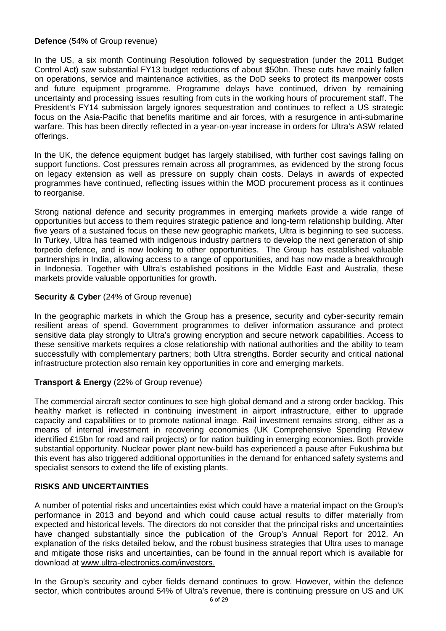# **Defence** (54% of Group revenue)

In the US, a six month Continuing Resolution followed by sequestration (under the 2011 Budget Control Act) saw substantial FY13 budget reductions of about \$50bn. These cuts have mainly fallen on operations, service and maintenance activities, as the DoD seeks to protect its manpower costs and future equipment programme. Programme delays have continued, driven by remaining uncertainty and processing issues resulting from cuts in the working hours of procurement staff. The President's FY14 submission largely ignores sequestration and continues to reflect a US strategic focus on the Asia-Pacific that benefits maritime and air forces, with a resurgence in anti-submarine warfare. This has been directly reflected in a year-on-year increase in orders for Ultra's ASW related offerings.

In the UK, the defence equipment budget has largely stabilised, with further cost savings falling on support functions. Cost pressures remain across all programmes, as evidenced by the strong focus on legacy extension as well as pressure on supply chain costs. Delays in awards of expected programmes have continued, reflecting issues within the MOD procurement process as it continues to reorganise.

Strong national defence and security programmes in emerging markets provide a wide range of opportunities but access to them requires strategic patience and long-term relationship building. After five years of a sustained focus on these new geographic markets, Ultra is beginning to see success. In Turkey, Ultra has teamed with indigenous industry partners to develop the next generation of ship torpedo defence, and is now looking to other opportunities. The Group has established valuable partnerships in India, allowing access to a range of opportunities, and has now made a breakthrough in Indonesia. Together with Ultra's established positions in the Middle East and Australia, these markets provide valuable opportunities for growth.

# **Security & Cyber** (24% of Group revenue)

In the geographic markets in which the Group has a presence, security and cyber-security remain resilient areas of spend. Government programmes to deliver information assurance and protect sensitive data play strongly to Ultra's growing encryption and secure network capabilities. Access to these sensitive markets requires a close relationship with national authorities and the ability to team successfully with complementary partners; both Ultra strengths. Border security and critical national infrastructure protection also remain key opportunities in core and emerging markets.

# **Transport & Energy** (22% of Group revenue)

The commercial aircraft sector continues to see high global demand and a strong order backlog. This healthy market is reflected in continuing investment in airport infrastructure, either to upgrade capacity and capabilities or to promote national image. Rail investment remains strong, either as a means of internal investment in recovering economies (UK Comprehensive Spending Review identified £15bn for road and rail projects) or for nation building in emerging economies. Both provide substantial opportunity. Nuclear power plant new-build has experienced a pause after Fukushima but this event has also triggered additional opportunities in the demand for enhanced safety systems and specialist sensors to extend the life of existing plants.

# **RISKS AND UNCERTAINTIES**

A number of potential risks and uncertainties exist which could have a material impact on the Group's performance in 2013 and beyond and which could cause actual results to differ materially from expected and historical levels. The directors do not consider that the principal risks and uncertainties have changed substantially since the publication of the Group's Annual Report for 2012. An explanation of the risks detailed below, and the robust business strategies that Ultra uses to manage and mitigate those risks and uncertainties, can be found in the annual report which is available for download at [www.ultra-electronics.com/investors.](http://www.ultra-electronics.com/investors)

In the Group's security and cyber fields demand continues to grow. However, within the defence sector, which contributes around 54% of Ultra's revenue, there is continuing pressure on US and UK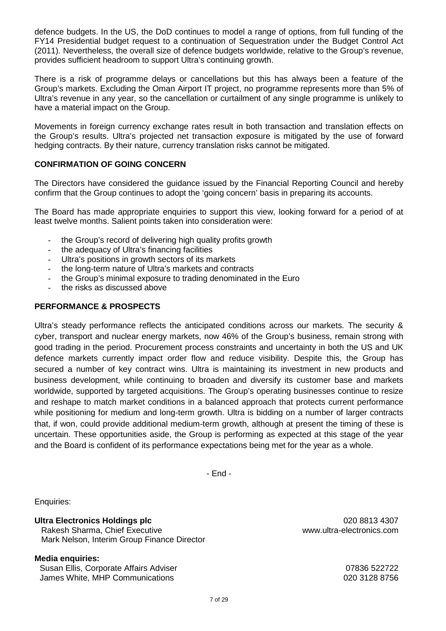defence budgets. In the US, the DoD continues to model a range of options, from full funding of the FY14 Presidential budget request to a continuation of Sequestration under the Budget Control Act (2011). Nevertheless, the overall size of defence budgets worldwide, relative to the Group's revenue, provides sufficient headroom to support Ultra's continuing growth.

There is a risk of programme delays or cancellations but this has always been a feature of the Group's markets. Excluding the Oman Airport IT project, no programme represents more than 5% of Ultra's revenue in any year, so the cancellation or curtailment of any single programme is unlikely to have a material impact on the Group.

Movements in foreign currency exchange rates result in both transaction and translation effects on the Group's results. Ultra's projected net transaction exposure is mitigated by the use of forward hedging contracts. By their nature, currency translation risks cannot be mitigated.

# **CONFIRMATION OF GOING CONCERN**

The Directors have considered the guidance issued by the Financial Reporting Council and hereby confirm that the Group continues to adopt the 'going concern' basis in preparing its accounts.

The Board has made appropriate enquiries to support this view, looking forward for a period of at least twelve months. Salient points taken into consideration were:

- the Group's record of delivering high quality profits growth
- the adequacy of Ultra's financing facilities
- Ultra's positions in growth sectors of its markets
- the long-term nature of Ultra's markets and contracts
- the Group's minimal exposure to trading denominated in the Euro
- the risks as discussed above

# **PERFORMANCE & PROSPECTS**

Ultra's steady performance reflects the anticipated conditions across our markets. The security & cyber, transport and nuclear energy markets, now 46% of the Group's business, remain strong with good trading in the period. Procurement process constraints and uncertainty in both the US and UK defence markets currently impact order flow and reduce visibility. Despite this, the Group has secured a number of key contract wins. Ultra is maintaining its investment in new products and business development, while continuing to broaden and diversify its customer base and markets worldwide, supported by targeted acquisitions. The Group's operating businesses continue to resize and reshape to match market conditions in a balanced approach that protects current performance while positioning for medium and long-term growth. Ultra is bidding on a number of larger contracts that, if won, could provide additional medium-term growth, although at present the timing of these is uncertain. These opportunities aside, the Group is performing as expected at this stage of the year and the Board is confident of its performance expectations being met for the year as a whole.

- End -

Enquiries:

**Ultra Electronics Holdings plc Development COLO 8813 4307** Rakesh Sharma, Chief Executive www.ultra-electronics.com Mark Nelson, Interim Group Finance Director

**Media enquiries:** Susan Ellis, Corporate Affairs Adviser 07836 522722 James White, MHP Communications **DEVILLE 1020 128 8756**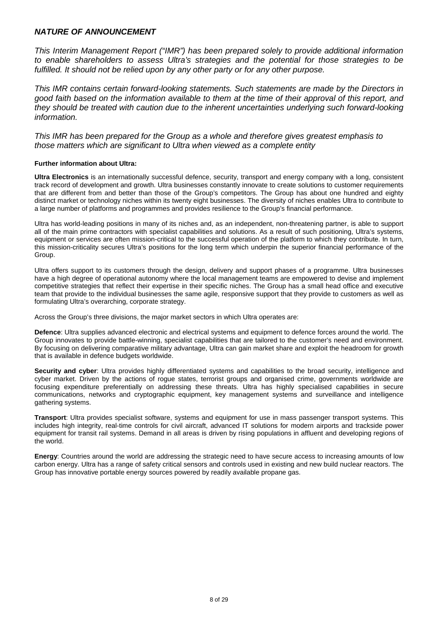# *NATURE OF ANNOUNCEMENT*

*This Interim Management Report ("IMR") has been prepared solely to provide additional information to enable shareholders to assess Ultra's strategies and the potential for those strategies to be fulfilled. It should not be relied upon by any other party or for any other purpose.* 

*This IMR contains certain forward-looking statements. Such statements are made by the Directors in good faith based on the information available to them at the time of their approval of this report, and they should be treated with caution due to the inherent uncertainties underlying such forward-looking information.*

*This IMR has been prepared for the Group as a whole and therefore gives greatest emphasis to those matters which are significant to Ultra when viewed as a complete entity*

## **Further information about Ultra:**

**Ultra Electronics** is an internationally successful defence, security, transport and energy company with a long, consistent track record of development and growth. Ultra businesses constantly innovate to create solutions to customer requirements that are different from and better than those of the Group's competitors. The Group has about one hundred and eighty distinct market or technology niches within its twenty eight businesses. The diversity of niches enables Ultra to contribute to a large number of platforms and programmes and provides resilience to the Group's financial performance.

Ultra has world-leading positions in many of its niches and, as an independent, non-threatening partner, is able to support all of the main prime contractors with specialist capabilities and solutions. As a result of such positioning, Ultra's systems, equipment or services are often mission-critical to the successful operation of the platform to which they contribute. In turn, this mission-criticality secures Ultra's positions for the long term which underpin the superior financial performance of the Group.

Ultra offers support to its customers through the design, delivery and support phases of a programme. Ultra businesses have a high degree of operational autonomy where the local management teams are empowered to devise and implement competitive strategies that reflect their expertise in their specific niches. The Group has a small head office and executive team that provide to the individual businesses the same agile, responsive support that they provide to customers as well as formulating Ultra's overarching, corporate strategy.

Across the Group's three divisions, the major market sectors in which Ultra operates are:

**Defence**: Ultra supplies advanced electronic and electrical systems and equipment to defence forces around the world. The Group innovates to provide battle-winning, specialist capabilities that are tailored to the customer's need and environment. By focusing on delivering comparative military advantage, Ultra can gain market share and exploit the headroom for growth that is available in defence budgets worldwide.

**Security and cyber**: Ultra provides highly differentiated systems and capabilities to the broad security, intelligence and cyber market. Driven by the actions of rogue states, terrorist groups and organised crime, governments worldwide are focusing expenditure preferentially on addressing these threats. Ultra has highly specialised capabilities in secure communications, networks and cryptographic equipment, key management systems and surveillance and intelligence gathering systems.

**Transport**: Ultra provides specialist software, systems and equipment for use in mass passenger transport systems. This includes high integrity, real-time controls for civil aircraft, advanced IT solutions for modern airports and trackside power equipment for transit rail systems. Demand in all areas is driven by rising populations in affluent and developing regions of the world.

**Energy**: Countries around the world are addressing the strategic need to have secure access to increasing amounts of low carbon energy. Ultra has a range of safety critical sensors and controls used in existing and new build nuclear reactors. The Group has innovative portable energy sources powered by readily available propane gas.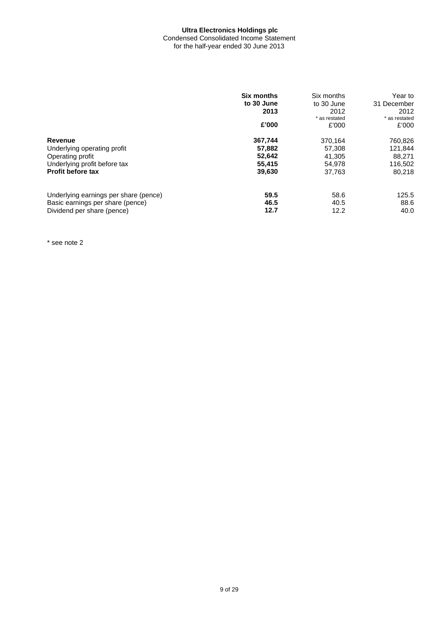## **Ultra Electronics Holdings plc** Condensed Consolidated Income Statement for the half-year ended 30 June 2013

|                                       | <b>Six months</b><br>to 30 June<br>2013 | Six months<br>to 30 June<br>2012<br>* as restated | Year to<br>31 December<br>2012<br>* as restated |
|---------------------------------------|-----------------------------------------|---------------------------------------------------|-------------------------------------------------|
|                                       | £'000                                   | £'000                                             | £'000                                           |
| Revenue                               | 367,744                                 | 370,164                                           | 760,826                                         |
| Underlying operating profit           | 57.882                                  | 57,308                                            | 121,844                                         |
| Operating profit                      | 52,642                                  | 41.305                                            | 88.271                                          |
| Underlying profit before tax          | 55,415                                  | 54.978                                            | 116,502                                         |
| Profit before tax                     | 39,630                                  | 37,763                                            | 80,218                                          |
| Underlying earnings per share (pence) | 59.5                                    | 58.6                                              | 125.5                                           |
| Basic earnings per share (pence)      | 46.5                                    | 40.5                                              | 88.6                                            |
| Dividend per share (pence)            | 12.7                                    | 12.2                                              | 40.0                                            |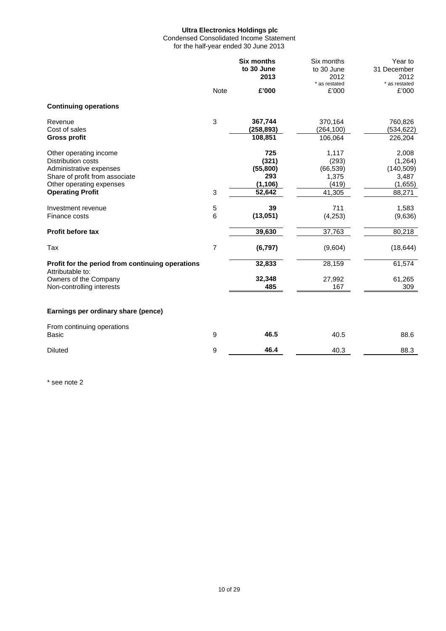# **Ultra Electronics Holdings plc** Condensed Consolidated Income Statement

for the half-year ended 30 June 2013

|                                                                                                                                                                         |                | <b>Six months</b><br>to 30 June<br>2013                | Six months<br>to 30 June<br>2012                        | Year to<br>31 December<br>2012                               |
|-------------------------------------------------------------------------------------------------------------------------------------------------------------------------|----------------|--------------------------------------------------------|---------------------------------------------------------|--------------------------------------------------------------|
|                                                                                                                                                                         | <b>Note</b>    | £'000                                                  | * as restated<br>£'000                                  | * as restated<br>£'000                                       |
| <b>Continuing operations</b>                                                                                                                                            |                |                                                        |                                                         |                                                              |
| Revenue<br>Cost of sales<br><b>Gross profit</b>                                                                                                                         | 3              | 367,744<br>(258, 893)<br>108,851                       | 370,164<br>(264, 100)<br>106,064                        | 760,826<br>(534, 622)<br>226,204                             |
| Other operating income<br><b>Distribution costs</b><br>Administrative expenses<br>Share of profit from associate<br>Other operating expenses<br><b>Operating Profit</b> | 3              | 725<br>(321)<br>(55, 800)<br>293<br>(1, 106)<br>52,642 | 1,117<br>(293)<br>(66, 539)<br>1,375<br>(419)<br>41,305 | 2,008<br>(1,264)<br>(140, 509)<br>3,487<br>(1,655)<br>88,271 |
| Investment revenue<br>Finance costs                                                                                                                                     | 5<br>6         | 39<br>(13,051)                                         | 711<br>(4,253)                                          | 1,583<br>(9,636)                                             |
| <b>Profit before tax</b>                                                                                                                                                |                | 39,630                                                 | 37,763                                                  | 80,218                                                       |
| Tax                                                                                                                                                                     | $\overline{7}$ | (6, 797)                                               | (9,604)                                                 | (18, 644)                                                    |
| Profit for the period from continuing operations<br>Attributable to:                                                                                                    |                | 32,833                                                 | 28,159                                                  | 61,574                                                       |
| Owners of the Company<br>Non-controlling interests                                                                                                                      |                | 32,348<br>485                                          | 27,992<br>167                                           | 61,265<br>309                                                |
| Earnings per ordinary share (pence)                                                                                                                                     |                |                                                        |                                                         |                                                              |
| From continuing operations<br><b>Basic</b>                                                                                                                              | 9              | 46.5                                                   | 40.5                                                    | 88.6                                                         |
| <b>Diluted</b>                                                                                                                                                          | 9              | 46.4                                                   | 40.3                                                    | 88.3                                                         |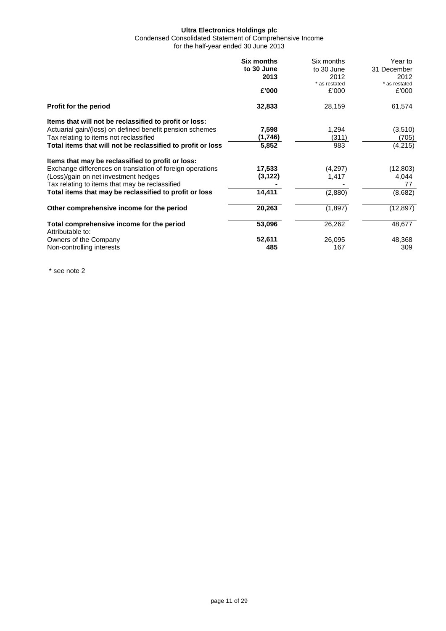Condensed Consolidated Statement of Comprehensive Income for the half-year ended 30 June 2013

|                                                               | <b>Six months</b><br>to 30 June<br>2013<br>£'000 | Six months<br>to 30 June<br>2012<br>* as restated<br>£'000 | Year to<br>31 December<br>2012<br>* as restated<br>£'000 |
|---------------------------------------------------------------|--------------------------------------------------|------------------------------------------------------------|----------------------------------------------------------|
| <b>Profit for the period</b>                                  | 32,833                                           | 28,159                                                     | 61,574                                                   |
| Items that will not be reclassified to profit or loss:        |                                                  |                                                            |                                                          |
| Actuarial gain/(loss) on defined benefit pension schemes      | 7,598                                            | 1,294                                                      | (3,510)                                                  |
| Tax relating to items not reclassified                        | (1,746)                                          | (311)                                                      | (705)                                                    |
| Total items that will not be reclassified to profit or loss   | 5,852                                            | 983                                                        | (4, 215)                                                 |
| Items that may be reclassified to profit or loss:             |                                                  |                                                            |                                                          |
| Exchange differences on translation of foreign operations     | 17,533                                           | (4,297)                                                    | (12, 803)                                                |
| (Loss)/gain on net investment hedges                          | (3, 122)                                         | 1,417                                                      | 4,044                                                    |
| Tax relating to items that may be reclassified                |                                                  |                                                            | 77                                                       |
| Total items that may be reclassified to profit or loss        | 14,411                                           | (2,880)                                                    | (8,682)                                                  |
| Other comprehensive income for the period                     | 20,263                                           | (1,897)                                                    | (12, 897)                                                |
| Total comprehensive income for the period<br>Attributable to: | 53,096                                           | 26,262                                                     | 48,677                                                   |
| Owners of the Company                                         | 52,611                                           | 26,095                                                     | 48,368                                                   |
| Non-controlling interests                                     | 485                                              | 167                                                        | 309                                                      |
|                                                               |                                                  |                                                            |                                                          |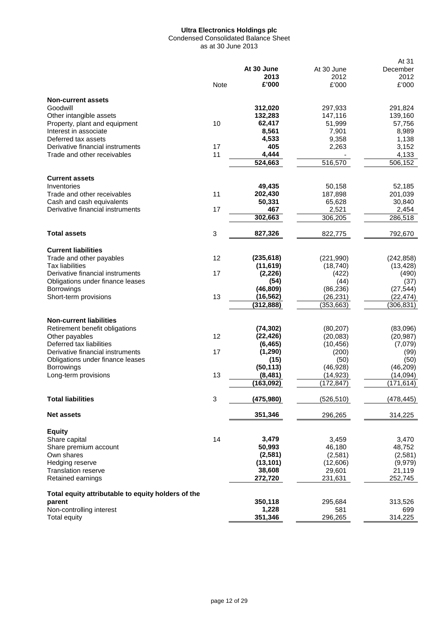Condensed Consolidated Balance Sheet as at 30 June 2013

|                                                    |             |            |            | At 31      |
|----------------------------------------------------|-------------|------------|------------|------------|
|                                                    |             | At 30 June | At 30 June | December   |
|                                                    |             | 2013       | 2012       | 2012       |
|                                                    | <b>Note</b> | £'000      | £'000      | £'000      |
| <b>Non-current assets</b>                          |             |            |            |            |
| Goodwill                                           |             | 312,020    | 297,933    | 291,824    |
| Other intangible assets                            |             | 132,283    | 147,116    | 139,160    |
| Property, plant and equipment                      | 10          | 62,417     | 51,999     | 57,756     |
| Interest in associate                              |             | 8,561      | 7,901      | 8,989      |
| Deferred tax assets                                |             | 4.533      | 9,358      | 1,138      |
| Derivative financial instruments                   | 17          | 405        | 2,263      | 3,152      |
| Trade and other receivables                        | 11          | 4,444      |            | 4,133      |
|                                                    |             | 524,663    | 516,570    | 506,152    |
| <b>Current assets</b>                              |             |            |            |            |
| Inventories                                        |             | 49,435     | 50,158     | 52,185     |
| Trade and other receivables                        | 11          | 202,430    | 187,898    | 201,039    |
| Cash and cash equivalents                          |             | 50,331     | 65,628     | 30,840     |
| Derivative financial instruments                   | 17          | 467        | 2,521      | 2,454      |
|                                                    |             | 302,663    | 306,205    | 286,518    |
| <b>Total assets</b>                                | 3           | 827,326    | 822,775    | 792,670    |
| <b>Current liabilities</b>                         |             |            |            |            |
| Trade and other payables                           | 12          | (235, 618) | (221, 990) | (242, 858) |
| <b>Tax liabilities</b>                             |             | (11, 619)  | (18, 740)  | (13, 428)  |
| Derivative financial instruments                   | 17          | (2, 226)   | (422)      | (490)      |
| Obligations under finance leases                   |             | (54)       | (44)       | (37)       |
| <b>Borrowings</b>                                  |             | (46, 809)  | (86, 236)  | (27, 544)  |
| Short-term provisions                              | 13          | (16,562)   | (26, 231)  | (22, 474)  |
|                                                    |             | (312,888)  | (353,663)  | (306,831)  |
| <b>Non-current liabilities</b>                     |             |            |            |            |
| Retirement benefit obligations                     |             | (74, 302)  | (80, 207)  | (83,096)   |
| Other payables                                     | 12          | (22, 426)  | (20,083)   | (20, 987)  |
| Deferred tax liabilities                           |             | (6, 465)   | (10, 456)  | (7,079)    |
| Derivative financial instruments                   | 17          | (1, 290)   | (200)      | (99)       |
| Obligations under finance leases                   |             | (15)       | (50)       | (50)       |
| Borrowings                                         |             | (50, 113)  | (46, 928)  | (46, 209)  |
| Long-term provisions                               | 13          | (8,481)    | (14, 923)  | (14, 094)  |
|                                                    |             | (163,092)  | (172, 847) | (171.614)  |
| <b>Total liabilities</b>                           | $\mathbf 3$ | (475,980)  | (526, 510) | (478, 445) |
| <b>Net assets</b>                                  |             | 351,346    | 296,265    | 314,225    |
| <b>Equity</b>                                      |             |            |            |            |
| Share capital                                      | 14          | 3,479      | 3,459      | 3,470      |
| Share premium account                              |             | 50,993     | 46,180     | 48,752     |
| Own shares                                         |             | (2,581)    | (2,581)    | (2,581)    |
| Hedging reserve                                    |             | (13, 101)  | (12,606)   | (9,979)    |
| <b>Translation reserve</b>                         |             | 38,608     | 29,601     | 21,119     |
| Retained earnings                                  |             | 272,720    | 231,631    | 252,745    |
| Total equity attributable to equity holders of the |             |            |            |            |
| parent                                             |             | 350,118    | 295,684    | 313,526    |
| Non-controlling interest                           |             | 1,228      | 581        | 699        |
| <b>Total equity</b>                                |             | 351,346    | 296,265    | 314,225    |
|                                                    |             |            |            |            |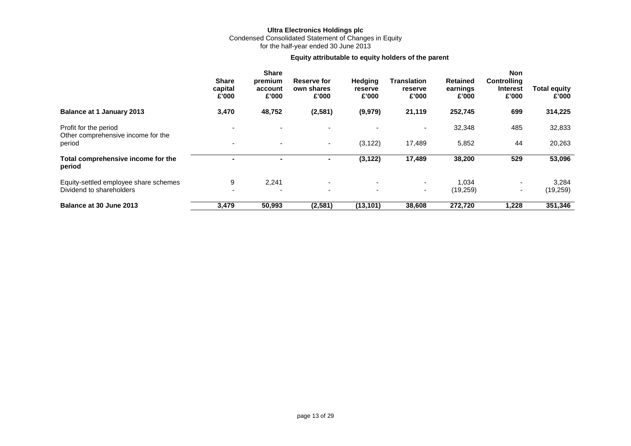## **Ultra Electronics Holdings plc** Condensed Consolidated Statement of Changes in Equity for the half-year ended 30 June 2013

# **Equity attributable to equity holders of the parent**

|                                                                   | <b>Share</b><br>capital<br>£'000 | <b>Share</b><br>premium<br>account<br>£'000 | <b>Reserve for</b><br>own shares<br>£'000            | <b>Hedging</b><br>reserve<br>£'000 | <b>Translation</b><br>reserve<br>£'000 | <b>Retained</b><br>earnings<br>£'000 | <b>Non</b><br><b>Controlling</b><br><b>Interest</b><br>£'000 | <b>Total equity</b><br>£'000 |
|-------------------------------------------------------------------|----------------------------------|---------------------------------------------|------------------------------------------------------|------------------------------------|----------------------------------------|--------------------------------------|--------------------------------------------------------------|------------------------------|
| <b>Balance at 1 January 2013</b>                                  | 3,470                            | 48,752                                      | (2,581)                                              | (9,979)                            | 21,119                                 | 252,745                              | 699                                                          | 314,225                      |
| Profit for the period<br>Other comprehensive income for the       | ۰.                               |                                             |                                                      |                                    | $\overline{\phantom{0}}$               | 32,348                               | 485                                                          | 32,833                       |
| period                                                            | $\blacksquare$                   | $\overline{\phantom{0}}$                    | ۰.                                                   | (3, 122)                           | 17,489                                 | 5,852                                | 44                                                           | 20,263                       |
| Total comprehensive income for the<br>period                      |                                  |                                             |                                                      | (3, 122)                           | 17,489                                 | 38,200                               | 529                                                          | 53,096                       |
| Equity-settled employee share schemes<br>Dividend to shareholders | 9<br>$\overline{\phantom{a}}$    | 2,241                                       | $\overline{\phantom{0}}$<br>$\overline{\phantom{0}}$ | $\overline{\phantom{a}}$           | $\sim$<br>$\sim$                       | 1,034<br>(19,259)                    | $\overline{\phantom{0}}$                                     | 3,284<br>(19,259)            |
| Balance at 30 June 2013                                           | 3,479                            | 50,993                                      | (2,581)                                              | (13, 101)                          | 38,608                                 | 272,720                              | 1,228                                                        | 351,346                      |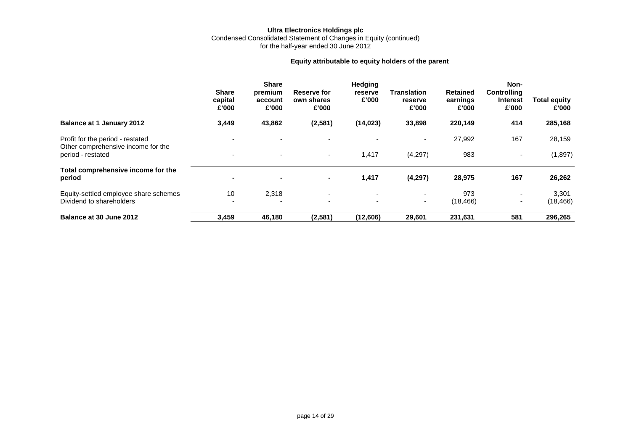## **Ultra Electronics Holdings plc** Condensed Consolidated Statement of Changes in Equity (continued) for the half-year ended 30 June 2012

# **Equity attributable to equity holders of the parent**

|                                                                        | <b>Share</b><br>capital<br>£'000 | <b>Share</b><br>premium<br>account<br>£'000 | Reserve for<br>own shares<br>£'000                   | <b>Hedging</b><br>reserve<br>£'000 | <b>Translation</b><br>reserve<br>£'000 | <b>Retained</b><br>earnings<br>£'000 | Non-<br><b>Controlling</b><br><b>Interest</b><br>£'000 | <b>Total equity</b><br>£'000 |
|------------------------------------------------------------------------|----------------------------------|---------------------------------------------|------------------------------------------------------|------------------------------------|----------------------------------------|--------------------------------------|--------------------------------------------------------|------------------------------|
| <b>Balance at 1 January 2012</b>                                       | 3,449                            | 43,862                                      | (2, 581)                                             | (14, 023)                          | 33,898                                 | 220,149                              | 414                                                    | 285,168                      |
| Profit for the period - restated<br>Other comprehensive income for the |                                  |                                             |                                                      |                                    | $\overline{\phantom{0}}$               | 27,992                               | 167                                                    | 28,159                       |
| period - restated                                                      |                                  |                                             | $\sim$                                               | 1,417                              | (4, 297)                               | 983                                  | $\overline{\phantom{a}}$                               | (1,897)                      |
| Total comprehensive income for the<br>period                           |                                  |                                             | $\blacksquare$                                       | 1,417                              | (4, 297)                               | 28,975                               | 167                                                    | 26,262                       |
| Equity-settled employee share schemes<br>Dividend to shareholders      | 10<br>$\overline{\phantom{0}}$   | 2,318<br>٠                                  | $\overline{\phantom{0}}$<br>$\overline{\phantom{a}}$ | $\overline{\phantom{a}}$           | $\overline{a}$<br>$\sim$               | 973<br>(18, 466)                     | $\sim$<br>$\overline{\phantom{a}}$                     | 3,301<br>(18, 466)           |
| Balance at 30 June 2012                                                | 3,459                            | 46,180                                      | (2,581)                                              | (12,606)                           | 29,601                                 | 231,631                              | 581                                                    | 296,265                      |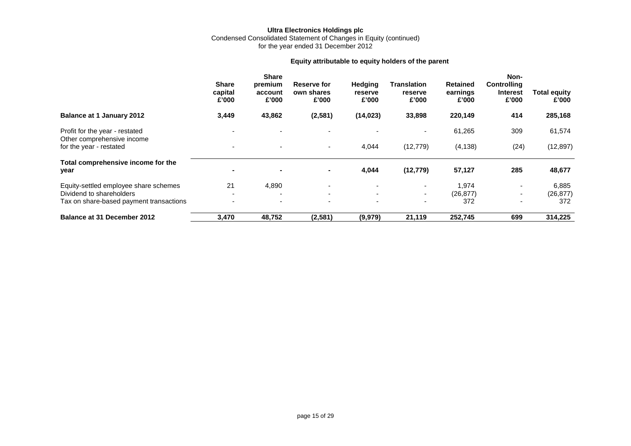### **Ultra Electronics Holdings plc** Condensed Consolidated Statement of Changes in Equity (continued) for the year ended 31 December 2012

# **Equity attributable to equity holders of the parent**

|                                                              | <b>Share</b><br>capital<br>£'000 | <b>Share</b><br>premium<br>account<br>£'000 | <b>Reserve for</b><br>own shares<br>£'000 | Hedging<br>reserve<br>£'000 | <b>Translation</b><br>reserve<br>£'000 | <b>Retained</b><br>earnings<br>£'000 | Non-<br><b>Controlling</b><br><b>Interest</b><br>£'000 | <b>Total equity</b><br>£'000 |
|--------------------------------------------------------------|----------------------------------|---------------------------------------------|-------------------------------------------|-----------------------------|----------------------------------------|--------------------------------------|--------------------------------------------------------|------------------------------|
| <b>Balance at 1 January 2012</b>                             | 3,449                            | 43,862                                      | (2,581)                                   | (14, 023)                   | 33,898                                 | 220,149                              | 414                                                    | 285,168                      |
| Profit for the year - restated<br>Other comprehensive income |                                  |                                             |                                           |                             |                                        | 61,265                               | 309                                                    | 61,574                       |
| for the year - restated                                      |                                  | $\overline{\phantom{a}}$                    | $\overline{\phantom{a}}$                  | 4,044                       | (12, 779)                              | (4, 138)                             | (24)                                                   | (12, 897)                    |
| Total comprehensive income for the<br>year                   |                                  |                                             | $\blacksquare$                            | 4,044                       | (12, 779)                              | 57,127                               | 285                                                    | 48,677                       |
| Equity-settled employee share schemes                        | 21                               | 4,890                                       | $\overline{\phantom{0}}$                  | $\overline{\phantom{a}}$    | $\sim$                                 | 1,974                                |                                                        | 6,885                        |
| Dividend to shareholders                                     |                                  | $\overline{\phantom{0}}$                    | $\overline{\phantom{0}}$                  | $\overline{\phantom{0}}$    | $\overline{\phantom{a}}$               | (26, 877)                            |                                                        | (26, 877)                    |
| Tax on share-based payment transactions                      |                                  | $\overline{\phantom{0}}$                    | $\overline{\phantom{0}}$                  | $\overline{\phantom{0}}$    |                                        | 372                                  |                                                        | 372                          |
| Balance at 31 December 2012                                  | 3,470                            | 48,752                                      | (2, 581)                                  | (9,979)                     | 21,119                                 | 252,745                              | 699                                                    | 314,225                      |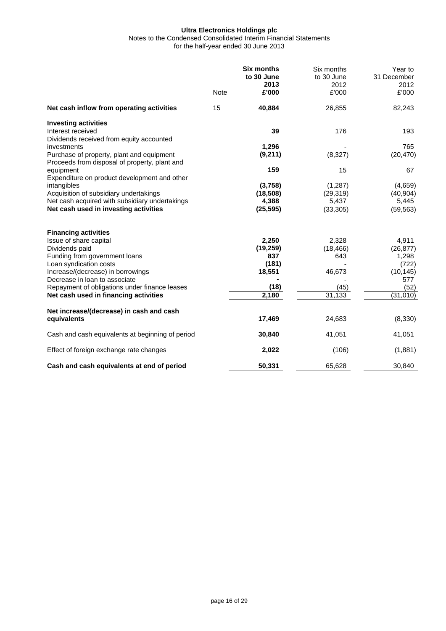Notes to the Condensed Consolidated Interim Financial Statements

for the half-year ended 30 June 2013

|                                                                                            | <b>Note</b> | <b>Six months</b><br>to 30 June<br>2013<br>£'000 | Six months<br>to 30 June<br>2012<br>£'000 | Year to<br>31 December<br>2012<br>£'000 |
|--------------------------------------------------------------------------------------------|-------------|--------------------------------------------------|-------------------------------------------|-----------------------------------------|
| Net cash inflow from operating activities                                                  | 15          | 40,884                                           | 26,855                                    | 82,243                                  |
| <b>Investing activities</b><br>Interest received                                           |             | 39                                               | 176                                       | 193                                     |
| Dividends received from equity accounted<br>investments                                    |             | 1,296                                            |                                           | 765                                     |
| Purchase of property, plant and equipment<br>Proceeds from disposal of property, plant and |             | (9,211)                                          | (8, 327)                                  | (20, 470)                               |
| equipment<br>Expenditure on product development and other                                  |             | 159                                              | 15                                        | 67                                      |
| intangibles                                                                                |             | (3,758)                                          | (1, 287)                                  | (4,659)                                 |
| Acquisition of subsidiary undertakings                                                     |             | (18, 508)                                        | (29, 319)                                 | (40, 904)                               |
| Net cash acquired with subsidiary undertakings                                             |             | 4,388                                            | 5,437                                     | 5,445                                   |
| Net cash used in investing activities                                                      |             | (25, 595)                                        | (33, 305)                                 | (59,563)                                |
| <b>Financing activities</b>                                                                |             |                                                  |                                           |                                         |
| Issue of share capital                                                                     |             | 2,250                                            | 2,328                                     | 4,911                                   |
| Dividends paid                                                                             |             | (19, 259)                                        | (18, 466)                                 | (26, 877)                               |
| Funding from government loans<br>Loan syndication costs                                    |             | 837<br>(181)                                     | 643                                       | 1,298<br>(722)                          |
| Increase/(decrease) in borrowings                                                          |             | 18,551                                           | 46,673                                    | (10, 145)                               |
| Decrease in loan to associate                                                              |             |                                                  |                                           | 577                                     |
| Repayment of obligations under finance leases                                              |             | (18)                                             | (45)                                      | (52)                                    |
| Net cash used in financing activities                                                      |             | 2,180                                            | 31,133                                    | (31, 010)                               |
| Net increase/(decrease) in cash and cash                                                   |             |                                                  |                                           |                                         |
| equivalents                                                                                |             | 17,469                                           | 24,683                                    | (8, 330)                                |
| Cash and cash equivalents at beginning of period                                           |             | 30,840                                           | 41,051                                    | 41,051                                  |
| Effect of foreign exchange rate changes                                                    |             | 2,022                                            | (106)                                     | (1,881)                                 |
| Cash and cash equivalents at end of period                                                 |             | 50,331                                           | 65,628                                    | 30,840                                  |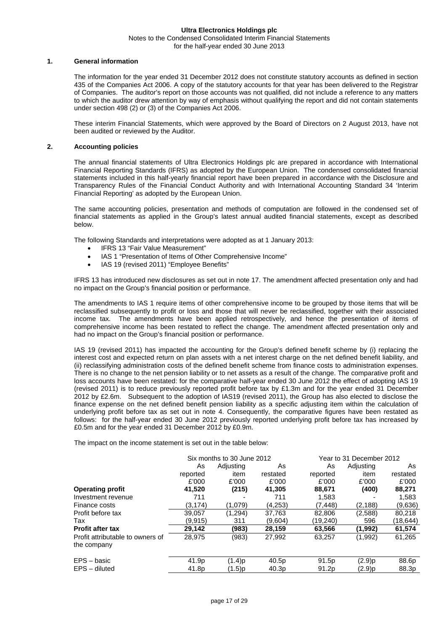#### **Ultra Electronics Holdings plc** Notes to the Condensed Consolidated Interim Financial Statements for the half-year ended 30 June 2013

#### **1. General information**

The information for the year ended 31 December 2012 does not constitute statutory accounts as defined in section 435 of the Companies Act 2006. A copy of the statutory accounts for that year has been delivered to the Registrar of Companies. The auditor's report on those accounts was not qualified, did not include a reference to any matters to which the auditor drew attention by way of emphasis without qualifying the report and did not contain statements under section 498 (2) or (3) of the Companies Act 2006.

These interim Financial Statements, which were approved by the Board of Directors on 2 August 2013, have not been audited or reviewed by the Auditor.

#### **2. Accounting policies**

The annual financial statements of Ultra Electronics Holdings plc are prepared in accordance with International Financial Reporting Standards (IFRS) as adopted by the European Union. The condensed consolidated financial statements included in this half-yearly financial report have been prepared in accordance with the Disclosure and Transparency Rules of the Financial Conduct Authority and with International Accounting Standard 34 'Interim Financial Reporting' as adopted by the European Union.

The same accounting policies, presentation and methods of computation are followed in the condensed set of financial statements as applied in the Group's latest annual audited financial statements, except as described below.

The following Standards and interpretations were adopted as at 1 January 2013:

- IFRS 13 "Fair Value Measurement"
- IAS 1 "Presentation of Items of Other Comprehensive Income"
- IAS 19 (revised 2011) "Employee Benefits"

IFRS 13 has introduced new disclosures as set out in note 17. The amendment affected presentation only and had no impact on the Group's financial position or performance.

The amendments to IAS 1 require items of other comprehensive income to be grouped by those items that will be reclassified subsequently to profit or loss and those that will never be reclassified, together with their associated income tax. The amendments have been applied retrospectively, and hence the presentation of items of comprehensive income has been restated to reflect the change. The amendment affected presentation only and had no impact on the Group's financial position or performance.

IAS 19 (revised 2011) has impacted the accounting for the Group's defined benefit scheme by (i) replacing the interest cost and expected return on plan assets with a net interest charge on the net defined benefit liability, and (ii) reclassifying administration costs of the defined benefit scheme from finance costs to administration expenses. There is no change to the net pension liability or to net assets as a result of the change. The comparative profit and loss accounts have been restated: for the comparative half-year ended 30 June 2012 the effect of adopting IAS 19 (revised 2011) is to reduce previously reported profit before tax by £1.3m and for the year ended 31 December 2012 by £2.6m. Subsequent to the adoption of IAS19 (revised 2011), the Group has also elected to disclose the finance expense on the net defined benefit pension liability as a specific adjusting item within the calculation of underlying profit before tax as set out in note 4. Consequently, the comparative figures have been restated as follows: for the half-year ended 30 June 2012 previously reported underlying profit before tax has increased by £0.5m and for the year ended 31 December 2012 by £0.9m.

The impact on the income statement is set out in the table below:

|                                  |          | Six months to 30 June 2012 |                   | Year to 31 December 2012 |           |          |  |
|----------------------------------|----------|----------------------------|-------------------|--------------------------|-----------|----------|--|
|                                  | As       | Adjusting                  | As                | As                       | Adjusting | As       |  |
|                                  | reported | item                       | restated          | reported                 | item      | restated |  |
|                                  | £'000    | £'000                      | £'000             | £'000                    | £'000     | £'000    |  |
| <b>Operating profit</b>          | 41,520   | (215)                      | 41,305            | 88.671                   | (400)     | 88,271   |  |
| Investment revenue               | 711      |                            | 711               | 1.583                    |           | 1,583    |  |
| Finance costs                    | (3, 174) | (1.079)                    | (4,253)           | (7.448)                  | (2, 188)  | (9,636)  |  |
| Profit before tax                | 39.057   | (1,294)                    | 37.763            | 82,806                   | (2,588)   | 80.218   |  |
| Tax                              | (9,915)  | 311                        | (9,604)           | (19,240)                 | 596       | (18,644) |  |
| <b>Profit after tax</b>          | 29,142   | (983)                      | 28.159            | 63,566                   | (1.992)   | 61,574   |  |
| Profit attributable to owners of | 28.975   | (983)                      | 27,992            | 63,257                   | (1,992)   | 61,265   |  |
| the company                      |          |                            |                   |                          |           |          |  |
| $EPS - basic$                    | 41.9p    | (1.4)p                     | 40.5p             | 91.5p                    | (2.9)p    | 88.6p    |  |
| $EPS - diluted$                  | 41.8p    | (1.5)p                     | 40.3 <sub>p</sub> | 91.2 <sub>p</sub>        | (2.9)p    | 88.3p    |  |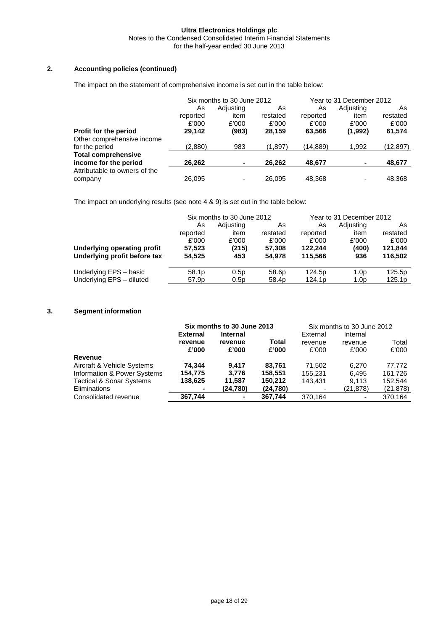## **Ultra Electronics Holdings plc** Notes to the Condensed Consolidated Interim Financial Statements for the half-year ended 30 June 2013

## **2. Accounting policies (continued)**

The impact on the statement of comprehensive income is set out in the table below:

|                               | Six months to 30 June 2012 |                | Year to 31 December 2012 |          |           |           |
|-------------------------------|----------------------------|----------------|--------------------------|----------|-----------|-----------|
|                               | As                         | Adjusting      | As                       | As       | Adjusting | As        |
|                               | reported                   | item           | restated                 | reported | item      | restated  |
|                               | £'000                      | £'000          | £'000                    | £'000    | £'000     | £'000     |
| Profit for the period         | 29,142                     | (983)          | 28,159                   | 63,566   | (1,992)   | 61,574    |
| Other comprehensive income    |                            |                |                          |          |           |           |
| for the period                | (2,880)                    | 983            | (1,897)                  | (14,889) | 1.992     | (12, 897) |
| <b>Total comprehensive</b>    |                            |                |                          |          |           |           |
| income for the period         | 26,262                     | $\blacksquare$ | 26,262                   | 48,677   | ۰         | 48,677    |
| Attributable to owners of the |                            |                |                          |          |           |           |
| company                       | 26,095                     |                | 26,095                   | 48.368   | ۰         | 48.368    |

The impact on underlying results (see note 4 & 9) is set out in the table below:

|                                    | Six months to 30 June 2012 |                  |          | Year to 31 December 2012 |                  |          |
|------------------------------------|----------------------------|------------------|----------|--------------------------|------------------|----------|
|                                    | As                         | Adjusting        | As       | As                       | Adjusting        | As       |
|                                    | reported                   | item             | restated | reported                 | item             | restated |
|                                    | £'000                      | £'000            | £'000    | £'000                    | £'000            | £'000    |
| <b>Underlying operating profit</b> | 57.523                     | (215)            | 57.308   | 122.244                  | (400)            | 121,844  |
| Underlying profit before tax       | 54.525                     | 453              | 54.978   | 115.566                  | 936              | 116.502  |
| Underlying EPS - basic             | 58.1 <sub>p</sub>          | 0.5 <sub>D</sub> | 58.6p    | 124.5 <sub>p</sub>       | 1.0 <sub>p</sub> | 125.5p   |
| Underlying EPS - diluted           | 57.9p                      | 0.5p             | 58.4p    | 124.1 <sub>p</sub>       | 1.0 <sub>p</sub> | 125.1p   |

### **3. Segment information**

|                                     | Six months to 30 June 2013 |          | Six months to 30 June 2012 |          |                          |           |
|-------------------------------------|----------------------------|----------|----------------------------|----------|--------------------------|-----------|
|                                     | <b>External</b>            | Internal |                            | External | Internal                 |           |
|                                     | revenue                    | revenue  | Total                      | revenue  | revenue                  | Total     |
|                                     | £'000                      | £'000    | £'000                      | £'000    | £'000                    | £'000     |
| Revenue                             |                            |          |                            |          |                          |           |
| Aircraft & Vehicle Systems          | 74.344                     | 9.417    | 83.761                     | 71.502   | 6.270                    | 77.772    |
| Information & Power Systems         | 154.775                    | 3.776    | 158.551                    | 155.231  | 6.495                    | 161.726   |
| <b>Tactical &amp; Sonar Systems</b> | 138,625                    | 11,587   | 150.212                    | 143.431  | 9.113                    | 152.544   |
| Eliminations                        |                            | (24,780) | (24,780)                   |          | (21, 878)                | (21, 878) |
| Consolidated revenue                | 367,744                    |          | 367.744                    | 370,164  | $\overline{\phantom{a}}$ | 370,164   |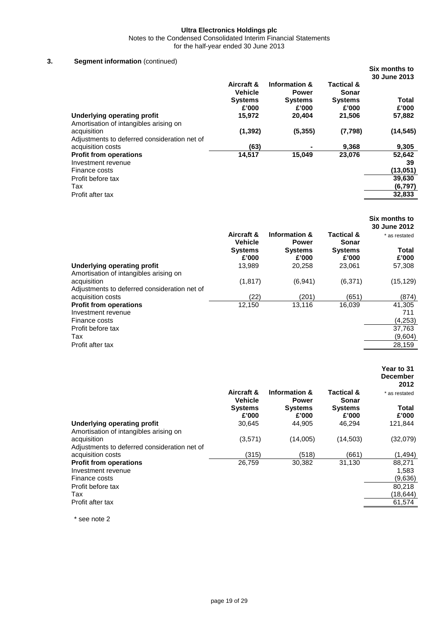Notes to the Condensed Consolidated Interim Financial Statements

for the half-year ended 30 June 2013

## **3. Segment information** (continued)

|                                                                                           |                              |                                          |                                | Six months to                      |
|-------------------------------------------------------------------------------------------|------------------------------|------------------------------------------|--------------------------------|------------------------------------|
|                                                                                           |                              |                                          |                                | 30 June 2013                       |
|                                                                                           | Aircraft &<br><b>Vehicle</b> | <b>Information &amp;</b><br><b>Power</b> | <b>Tactical &amp;</b><br>Sonar |                                    |
|                                                                                           | <b>Systems</b>               | <b>Systems</b>                           | <b>Systems</b>                 | Total                              |
|                                                                                           | £'000                        | £'000                                    | £'000                          | £'000                              |
| Underlying operating profit<br>Amortisation of intangibles arising on                     | 15,972                       | 20.404                                   | 21,506                         | 57,882                             |
| acquisition<br>Adjustments to deferred consideration net of                               | (1, 392)                     | (5, 355)                                 | (7, 798)                       | (14, 545)                          |
| acquisition costs                                                                         | (63)                         |                                          | 9,368                          | 9,305                              |
| <b>Profit from operations</b><br>Investment revenue<br>Finance costs<br>Profit before tax | 14,517                       | 15,049                                   | 23,076                         | 52,642<br>39<br>(13,051)<br>39,630 |
| Tax                                                                                       |                              |                                          |                                | (6, 797)                           |
| Profit after tax                                                                          |                              |                                          |                                | 32,833                             |
|                                                                                           |                              |                                          |                                |                                    |

|                                                                                                                      | Aircraft &<br><b>Vehicle</b> | Information &<br><b>Power</b> | Tactical &<br>Sonar     | Six months to<br>30 June 2012<br>* as restated           |
|----------------------------------------------------------------------------------------------------------------------|------------------------------|-------------------------------|-------------------------|----------------------------------------------------------|
|                                                                                                                      | <b>Systems</b><br>£'000      | <b>Systems</b><br>£'000       | <b>Systems</b><br>£'000 | Total<br>£'000                                           |
| Underlying operating profit<br>Amortisation of intangibles arising on                                                | 13,989                       | 20,258                        | 23,061                  | 57,308                                                   |
| acquisition<br>Adjustments to deferred consideration net of                                                          | (1, 817)                     | (6,941)                       | (6, 371)                | (15, 129)                                                |
| acquisition costs                                                                                                    | (22)                         | (201)                         | (651)                   | (874)                                                    |
| <b>Profit from operations</b><br>Investment revenue<br>Finance costs<br>Profit before tax<br>Tax<br>Profit after tax | 12,150                       | 13,116                        | 16,039                  | 41,305<br>711<br>(4, 253)<br>37,763<br>(9,604)<br>28,159 |

|                                                                       |                              |                                          |                         | Year to 31<br><b>December</b><br>2012 |
|-----------------------------------------------------------------------|------------------------------|------------------------------------------|-------------------------|---------------------------------------|
|                                                                       | Aircraft &<br><b>Vehicle</b> | <b>Information &amp;</b><br><b>Power</b> | Tactical &<br>Sonar     | * as restated                         |
|                                                                       | <b>Systems</b><br>£'000      | <b>Systems</b><br>£'000                  | <b>Systems</b><br>£'000 | Total<br>£'000                        |
| Underlying operating profit<br>Amortisation of intangibles arising on | 30,645                       | 44,905                                   | 46,294                  | 121,844                               |
| acquisition<br>Adjustments to deferred consideration net of           | (3,571)                      | (14,005)                                 | (14, 503)               | (32,079)                              |
| acquisition costs                                                     | (315)                        | (518)                                    | (661)                   | (1, 494)                              |
| <b>Profit from operations</b>                                         | 26,759                       | 30,382                                   | 31,130                  | 88,271                                |
| Investment revenue                                                    |                              |                                          |                         | 1,583                                 |
| Finance costs                                                         |                              |                                          |                         | (9,636)                               |
| Profit before tax                                                     |                              |                                          |                         | 80,218                                |
| Tax                                                                   |                              |                                          |                         | (18, 644)                             |
| Profit after tax                                                      |                              |                                          |                         | 61,574                                |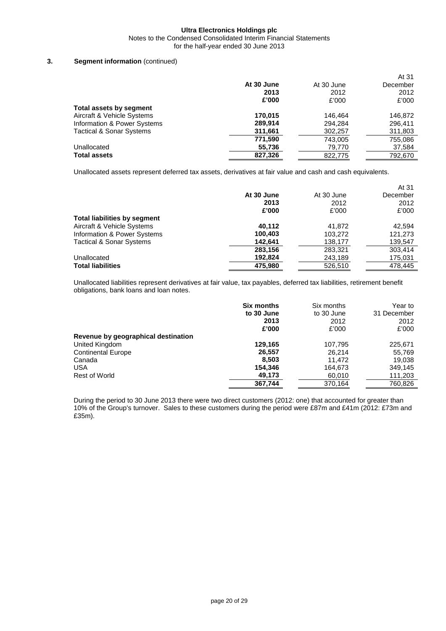Notes to the Condensed Consolidated Interim Financial Statements

for the half-year ended 30 June 2013

## **3. Segment information** (continued)

|                                     |            |            | At 31    |
|-------------------------------------|------------|------------|----------|
|                                     | At 30 June | At 30 June | December |
|                                     | 2013       | 2012       | 2012     |
|                                     | £'000      | £'000      | £'000    |
| Total assets by segment             |            |            |          |
| Aircraft & Vehicle Systems          | 170,015    | 146.464    | 146,872  |
| Information & Power Systems         | 289,914    | 294,284    | 296,411  |
| <b>Tactical &amp; Sonar Systems</b> | 311,661    | 302,257    | 311,803  |
|                                     | 771,590    | 743,005    | 755,086  |
| Unallocated                         | 55,736     | 79,770     | 37,584   |
| <b>Total assets</b>                 | 827,326    | 822,775    | 792,670  |

Unallocated assets represent deferred tax assets, derivatives at fair value and cash and cash equivalents.

|                                     |            |            | At 31    |
|-------------------------------------|------------|------------|----------|
|                                     | At 30 June | At 30 June | December |
|                                     | 2013       | 2012       | 2012     |
|                                     | £'000      | £'000      | £'000    |
| <b>Total liabilities by segment</b> |            |            |          |
| Aircraft & Vehicle Systems          | 40.112     | 41.872     | 42.594   |
| Information & Power Systems         | 100,403    | 103.272    | 121.273  |
| <b>Tactical &amp; Sonar Systems</b> | 142,641    | 138,177    | 139,547  |
|                                     | 283,156    | 283,321    | 303.414  |
| Unallocated                         | 192,824    | 243,189    | 175,031  |
| <b>Total liabilities</b>            | 475.980    | 526,510    | 478.445  |

Unallocated liabilities represent derivatives at fair value, tax payables, deferred tax liabilities, retirement benefit obligations, bank loans and loan notes.

|                                     | <b>Six months</b><br>to 30 June<br>2013<br>£'000 | Six months<br>to 30 June<br>2012<br>£'000 | Year to<br>31 December<br>2012<br>£'000 |
|-------------------------------------|--------------------------------------------------|-------------------------------------------|-----------------------------------------|
| Revenue by geographical destination |                                                  |                                           |                                         |
| United Kingdom                      | 129,165                                          | 107.795                                   | 225.671                                 |
| <b>Continental Europe</b>           | 26,557                                           | 26.214                                    | 55,769                                  |
| Canada                              | 8,503                                            | 11.472                                    | 19,038                                  |
| <b>USA</b>                          | 154,346                                          | 164,673                                   | 349,145                                 |
| Rest of World                       | 49,173                                           | 60,010                                    | 111,203                                 |
|                                     | 367,744                                          | 370,164                                   | 760.826                                 |

During the period to 30 June 2013 there were two direct customers (2012: one) that accounted for greater than 10% of the Group's turnover. Sales to these customers during the period were £87m and £41m (2012: £73m and £35m).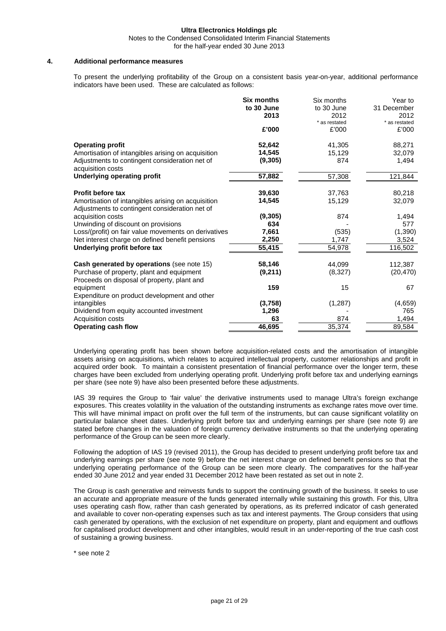# **Ultra Electronics Holdings plc** Notes to the Condensed Consolidated Interim Financial Statements

for the half-year ended 30 June 2013

#### **4. Additional performance measures**

To present the underlying profitability of the Group on a consistent basis year-on-year, additional performance indicators have been used. These are calculated as follows:

|                                                                     | Six months | Six months    | Year to       |
|---------------------------------------------------------------------|------------|---------------|---------------|
|                                                                     | to 30 June | to 30 June    | 31 December   |
|                                                                     | 2013       | 2012          | 2012          |
|                                                                     |            | * as restated | * as restated |
|                                                                     | £'000      | £'000         | £'000         |
| <b>Operating profit</b>                                             | 52,642     | 41,305        | 88,271        |
| Amortisation of intangibles arising on acquisition                  | 14,545     | 15,129        | 32,079        |
| Adjustments to contingent consideration net of<br>acquisition costs | (9,305)    | 874           | 1,494         |
| <b>Underlying operating profit</b>                                  | 57,882     | 57,308        | 121,844       |
| Profit before tax                                                   | 39,630     | 37,763        | 80,218        |
| Amortisation of intangibles arising on acquisition                  | 14,545     | 15,129        | 32,079        |
| Adjustments to contingent consideration net of                      |            |               |               |
| acquisition costs                                                   | (9, 305)   | 874           | 1,494         |
| Unwinding of discount on provisions                                 | 634        |               | 577           |
| Loss/(profit) on fair value movements on derivatives                | 7,661      | (535)         | (1, 390)      |
| Net interest charge on defined benefit pensions                     | 2,250      | 1,747         | 3,524         |
| Underlying profit before tax                                        | 55,415     | 54,978        | 116,502       |
| Cash generated by operations (see note 15)                          | 58,146     | 44.099        | 112,387       |
| Purchase of property, plant and equipment                           | (9,211)    | (8,327)       | (20, 470)     |
| Proceeds on disposal of property, plant and                         |            |               |               |
| equipment                                                           | 159        | 15            | 67            |
| Expenditure on product development and other                        |            |               |               |
| intangibles                                                         | (3,758)    | (1, 287)      | (4,659)       |
| Dividend from equity accounted investment                           | 1,296      |               | 765           |
| Acquisition costs                                                   | 63         | 874           | 1,494         |
| <b>Operating cash flow</b>                                          | 46,695     | 35,374        | 89,584        |

Underlying operating profit has been shown before acquisition-related costs and the amortisation of intangible assets arising on acquisitions, which relates to acquired intellectual property, customer relationships and profit in acquired order book. To maintain a consistent presentation of financial performance over the longer term, these charges have been excluded from underlying operating profit. Underlying profit before tax and underlying earnings per share (see note 9) have also been presented before these adjustments.

IAS 39 requires the Group to 'fair value' the derivative instruments used to manage Ultra's foreign exchange exposures. This creates volatility in the valuation of the outstanding instruments as exchange rates move over time. This will have minimal impact on profit over the full term of the instruments, but can cause significant volatility on particular balance sheet dates. Underlying profit before tax and underlying earnings per share (see note 9) are stated before changes in the valuation of foreign currency derivative instruments so that the underlying operating performance of the Group can be seen more clearly.

Following the adoption of IAS 19 (revised 2011), the Group has decided to present underlying profit before tax and underlying earnings per share (see note 9) before the net interest charge on defined benefit pensions so that the underlying operating performance of the Group can be seen more clearly. The comparatives for the half-year ended 30 June 2012 and year ended 31 December 2012 have been restated as set out in note 2.

The Group is cash generative and reinvests funds to support the continuing growth of the business. It seeks to use an accurate and appropriate measure of the funds generated internally while sustaining this growth. For this, Ultra uses operating cash flow, rather than cash generated by operations, as its preferred indicator of cash generated and available to cover non-operating expenses such as tax and interest payments. The Group considers that using cash generated by operations, with the exclusion of net expenditure on property, plant and equipment and outflows for capitalised product development and other intangibles, would result in an under-reporting of the true cash cost of sustaining a growing business.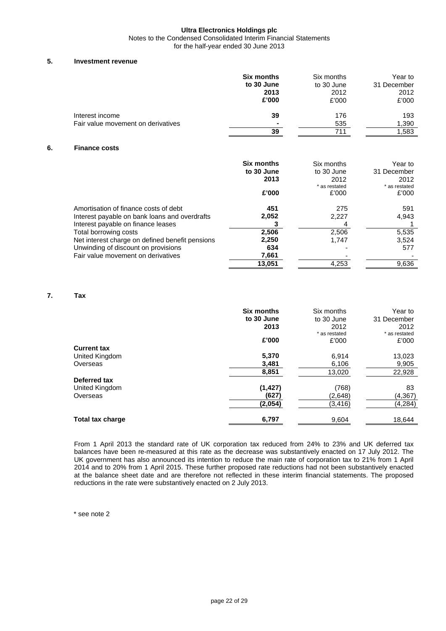Notes to the Condensed Consolidated Interim Financial Statements

for the half-year ended 30 June 2013

## **5. Investment revenue**

|    |                                                 | <b>Six months</b><br>to 30 June<br>2013<br>£'000 | Six months<br>to 30 June<br>2012<br>£'000 | Year to<br>31 December<br>2012<br>£'000 |
|----|-------------------------------------------------|--------------------------------------------------|-------------------------------------------|-----------------------------------------|
|    | Interest income                                 | 39                                               | 176                                       | 193                                     |
|    | Fair value movement on derivatives              |                                                  | 535                                       | 1,390                                   |
|    |                                                 | 39                                               | 711                                       | 1,583                                   |
| 6. | <b>Finance costs</b>                            |                                                  |                                           |                                         |
|    |                                                 | <b>Six months</b>                                | Six months                                | Year to                                 |
|    |                                                 | to 30 June                                       | to 30 June                                | 31 December                             |
|    |                                                 | 2013                                             | 2012                                      | 2012                                    |
|    |                                                 |                                                  | * as restated                             | * as restated                           |
|    |                                                 | £'000                                            | £'000                                     | £'000                                   |
|    | Amortisation of finance costs of debt           | 451                                              | 275                                       | 591                                     |
|    | Interest payable on bank loans and overdrafts   | 2,052                                            | 2,227                                     | 4,943                                   |
|    | Interest payable on finance leases              | 3                                                | 4                                         |                                         |
|    | Total borrowing costs                           | 2,506                                            | 2,506                                     | 5,535                                   |
|    | Net interest charge on defined benefit pensions | 2,250                                            | 1,747                                     | 3,524                                   |
|    | Unwinding of discount on provisions             | 634                                              |                                           | 577                                     |
|    | Fair value movement on derivatives              | 7,661                                            |                                           |                                         |
|    |                                                 | 13,051                                           | 4,253                                     | 9,636                                   |

## **7. Tax**

|                    | Six months<br>to 30 June<br>2013<br>£'000 | Six months<br>to 30 June<br>2012<br>* as restated<br>£'000 | Year to<br>31 December<br>2012<br>* as restated<br>£'000 |
|--------------------|-------------------------------------------|------------------------------------------------------------|----------------------------------------------------------|
| <b>Current tax</b> |                                           |                                                            |                                                          |
| United Kingdom     | 5,370                                     | 6,914                                                      | 13,023                                                   |
| Overseas           | 3,481                                     | 6,106                                                      | 9,905                                                    |
|                    | 8,851                                     | 13,020                                                     | 22,928                                                   |
| Deferred tax       |                                           |                                                            |                                                          |
| United Kingdom     | (1, 427)                                  | (768)                                                      | 83                                                       |
| Overseas           | (627)                                     | (2,648)                                                    | (4, 367)                                                 |
|                    | (2,054)                                   | (3, 416)                                                   | (4,284)                                                  |
| Total tax charge   | 6,797                                     | 9,604                                                      | 18,644                                                   |

From 1 April 2013 the standard rate of UK corporation tax reduced from 24% to 23% and UK deferred tax balances have been re-measured at this rate as the decrease was substantively enacted on 17 July 2012. The UK government has also announced its intention to reduce the main rate of corporation tax to 21% from 1 April 2014 and to 20% from 1 April 2015. These further proposed rate reductions had not been substantively enacted at the balance sheet date and are therefore not reflected in these interim financial statements. The proposed reductions in the rate were substantively enacted on 2 July 2013.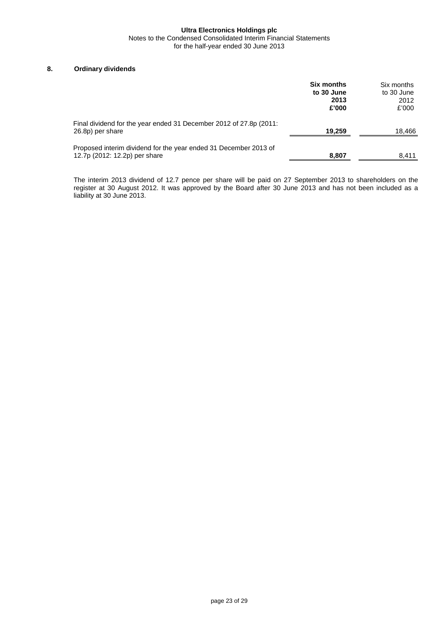Notes to the Condensed Consolidated Interim Financial Statements for the half-year ended 30 June 2013

# **8. Ordinary dividends**

|                                                                                                   | <b>Six months</b><br>to 30 June<br>2013<br>£'000 | Six months<br>to 30 June<br>2012<br>£'000 |
|---------------------------------------------------------------------------------------------------|--------------------------------------------------|-------------------------------------------|
| Final dividend for the year ended 31 December 2012 of 27.8p (2011:<br>26.8p) per share            | 19,259                                           | 18,466                                    |
| Proposed interim dividend for the year ended 31 December 2013 of<br>12.7p (2012: 12.2p) per share | 8,807                                            | 8,411                                     |

The interim 2013 dividend of 12.7 pence per share will be paid on 27 September 2013 to shareholders on the register at 30 August 2012. It was approved by the Board after 30 June 2013 and has not been included as a liability at 30 June 2013.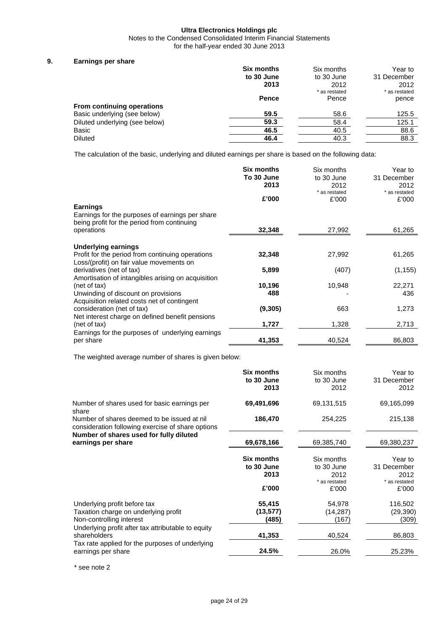Notes to the Condensed Consolidated Interim Financial Statements

for the half-year ended 30 June 2013

## **9. Earnings per share**

|                                | <b>Six months</b> | Six months    | Year to       |
|--------------------------------|-------------------|---------------|---------------|
|                                | to 30 June        | to 30 June    | 31 December   |
|                                | 2013              | 2012          | 2012          |
|                                |                   | * as restated | * as restated |
|                                | <b>Pence</b>      | Pence         | pence         |
| From continuing operations     |                   |               |               |
| Basic underlying (see below)   | 59.5              | 58.6          | 125.5         |
| Diluted underlying (see below) | 59.3              | 58.4          | 125.1         |
| Basic                          | 46.5              | 40.5          | 88.6          |
| <b>Diluted</b>                 | 46.4              | 40.3          | 88.3          |

The calculation of the basic, underlying and diluted earnings per share is based on the following data:

|                                                                                                                              | <b>Six months</b><br>To 30 June<br>2013<br>£'000 | Six months<br>to 30 June<br>2012<br>* as restated<br>£'000 | Year to<br>31 December<br>2012<br>* as restated<br>£'000 |
|------------------------------------------------------------------------------------------------------------------------------|--------------------------------------------------|------------------------------------------------------------|----------------------------------------------------------|
| <b>Earnings</b>                                                                                                              |                                                  |                                                            |                                                          |
| Earnings for the purposes of earnings per share<br>being profit for the period from continuing<br>operations                 | 32,348                                           | 27,992                                                     | 61,265                                                   |
| <b>Underlying earnings</b>                                                                                                   |                                                  |                                                            |                                                          |
| Profit for the period from continuing operations<br>Loss/(profit) on fair value movements on                                 | 32,348                                           | 27,992                                                     | 61,265                                                   |
| derivatives (net of tax)                                                                                                     | 5,899                                            | (407)                                                      | (1, 155)                                                 |
| Amortisation of intangibles arising on acquisition<br>(net of tax)                                                           | 10,196                                           | 10,948                                                     | 22,271                                                   |
| Unwinding of discount on provisions                                                                                          | 488                                              |                                                            | 436                                                      |
| Acquisition related costs net of contingent<br>consideration (net of tax)<br>Net interest charge on defined benefit pensions | (9, 305)                                         | 663                                                        | 1,273                                                    |
| (net of tax)                                                                                                                 | 1,727                                            | 1,328                                                      | 2,713                                                    |
| Earnings for the purposes of underlying earnings<br>per share                                                                | 41,353                                           | 40,524                                                     | 86,803                                                   |
| The weighted average number of shares is given below:                                                                        |                                                  |                                                            |                                                          |
|                                                                                                                              | Six months<br>to 30 June<br>2013                 | Six months<br>to 30 June<br>2012                           | Year to<br>31 December<br>2012                           |
| Number of shares used for basic earnings per<br>share                                                                        | 69,491,696                                       | 69,131,515                                                 | 69,165,099                                               |

Number of shares deemed to be issued at nil consideration following exercise of share options **Number of shares used for fully diluted** 

| 69,380,237    |
|---------------|
|               |
| Year to       |
| 31 December   |
| 2012          |
| * as restated |
| £'000         |
| 116.502       |
| (29, 390)     |
| (309)         |
|               |
| 86,803        |
|               |
| 25.23%        |
|               |

**186,470** 254,225 215,138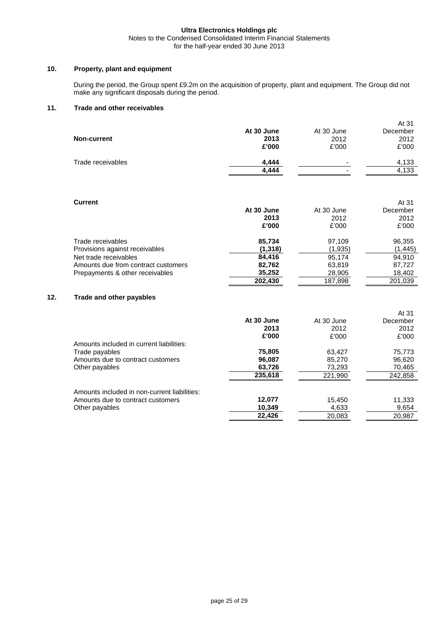Notes to the Condensed Consolidated Interim Financial Statements for the half-year ended 30 June 2013

# **10. Property, plant and equipment**

During the period, the Group spent £9.2m on the acquisition of property, plant and equipment. The Group did not make any significant disposals during the period.

## **11. Trade and other receivables**

|                    |            |                          | Al 31    |
|--------------------|------------|--------------------------|----------|
|                    | At 30 June | At 30 June               | December |
| <b>Non-current</b> | 2013       | 2012                     | 2012     |
|                    | £'000      | £'000                    | £'000    |
| Trade receivables  | 4.444      | ٠                        | 4,133    |
|                    | 4.444      | $\overline{\phantom{0}}$ | 4,133    |
|                    |            |                          |          |

 $\overline{M}$ 

At 31

## **Current**

|                                     |            |            | , , , , , |
|-------------------------------------|------------|------------|-----------|
|                                     | At 30 June | At 30 June | December  |
|                                     | 2013       | 2012       | 2012      |
|                                     | £'000      | £'000      | £'000     |
| Trade receivables                   | 85,734     | 97.109     | 96,355    |
| Provisions against receivables      | (1,318)    | (1,935)    | (1, 445)  |
| Net trade receivables               | 84.416     | 95.174     | 94,910    |
| Amounts due from contract customers | 82,762     | 63,819     | 87,727    |
| Prepayments & other receivables     | 35,252     | 28,905     | 18,402    |
|                                     | 202.430    | 187,898    | 201,039   |
|                                     |            |            |           |

## **12. Trade and other payables**

|                                              | At 30 June<br>2013<br>£'000 | At 30 June<br>2012<br>£'000 | At 31<br>December<br>2012<br>£'000 |
|----------------------------------------------|-----------------------------|-----------------------------|------------------------------------|
| Amounts included in current liabilities:     |                             |                             |                                    |
| Trade payables                               | 75,805                      | 63.427                      | 75,773                             |
| Amounts due to contract customers            | 96,087                      | 85.270                      | 96,620                             |
| Other payables                               | 63,726                      | 73,293                      | 70,465                             |
|                                              | 235,618                     | 221,990                     | 242,858                            |
| Amounts included in non-current liabilities: |                             |                             |                                    |
| Amounts due to contract customers            | 12,077                      | 15,450                      | 11,333                             |
| Other payables                               | 10.349                      | 4,633                       | 9,654                              |
|                                              | 22,426                      | 20,083                      | 20.987                             |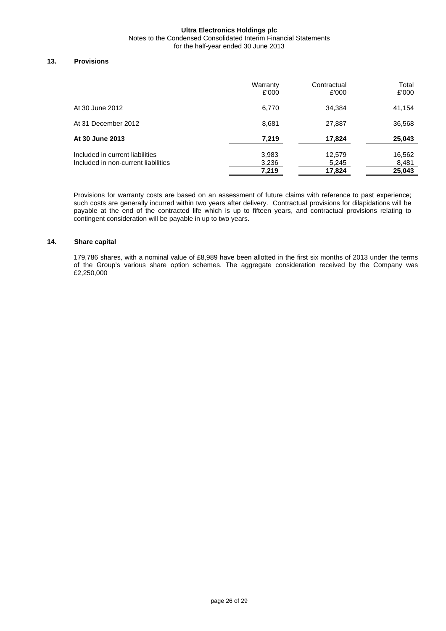Notes to the Condensed Consolidated Interim Financial Statements

for the half-year ended 30 June 2013

## **13. Provisions**

|                                                                        | Warranty<br>£'000       | Contractual<br>£'000      | Total<br>£'000            |
|------------------------------------------------------------------------|-------------------------|---------------------------|---------------------------|
| At 30 June 2012                                                        | 6,770                   | 34.384                    | 41,154                    |
| At 31 December 2012                                                    | 8,681                   | 27,887                    | 36,568                    |
| At 30 June 2013                                                        | 7,219                   | 17,824                    | 25,043                    |
| Included in current liabilities<br>Included in non-current liabilities | 3,983<br>3,236<br>7,219 | 12,579<br>5,245<br>17,824 | 16,562<br>8,481<br>25,043 |

Provisions for warranty costs are based on an assessment of future claims with reference to past experience; such costs are generally incurred within two years after delivery. Contractual provisions for dilapidations will be payable at the end of the contracted life which is up to fifteen years, and contractual provisions relating to contingent consideration will be payable in up to two years.

## **14. Share capital**

179,786 shares, with a nominal value of £8,989 have been allotted in the first six months of 2013 under the terms of the Group's various share option schemes. The aggregate consideration received by the Company was £2,250,000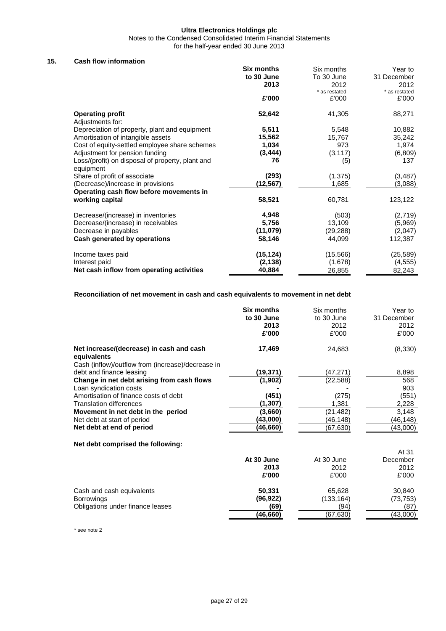Notes to the Condensed Consolidated Interim Financial Statements

for the half-year ended 30 June 2013

#### **15. Cash flow information**

|                                                               | <b>Six months</b> | Six months    | Year to       |
|---------------------------------------------------------------|-------------------|---------------|---------------|
|                                                               | to 30 June        | To 30 June    | 31 December   |
|                                                               | 2013              | 2012          | 2012          |
|                                                               |                   | * as restated | * as restated |
|                                                               | £'000             | £'000         | £'000         |
| <b>Operating profit</b><br>Adjustments for:                   | 52,642            | 41,305        | 88,271        |
| Depreciation of property, plant and equipment                 | 5,511             | 5,548         | 10,882        |
| Amortisation of intangible assets                             | 15,562            | 15,767        | 35,242        |
| Cost of equity-settled employee share schemes                 | 1,034             | 973           | 1,974         |
| Adjustment for pension funding                                | (3, 444)          | (3, 117)      | (6,809)       |
| Loss/(profit) on disposal of property, plant and<br>equipment | 76                | (5)           | 137           |
| Share of profit of associate                                  | (293)             | (1, 375)      | (3, 487)      |
| (Decrease)/increase in provisions                             | (12,567)          | 1,685         | (3,088)       |
| Operating cash flow before movements in                       |                   |               |               |
| working capital                                               | 58,521            | 60,781        | 123,122       |
| Decrease/(increase) in inventories                            | 4,948             | (503)         | (2,719)       |
| Decrease/(increase) in receivables                            | 5,756             | 13,109        | (5,969)       |
| Decrease in payables                                          | (11,079)          | (29,288)      | (2,047)       |
| Cash generated by operations                                  | 58,146            | 44,099        | 112,387       |
| Income taxes paid                                             | (15, 124)         | (15, 566)     | (25, 589)     |
| Interest paid                                                 | (2, 138)          | (1,678)       | (4, 555)      |
| Net cash inflow from operating activities                     | 40,884            | 26,855        | 82,243        |

# **Reconciliation of net movement in cash and cash equivalents to movement in net debt**

|                                                         | <b>Six months</b><br>to 30 June | Six months<br>to 30 June | Year to<br>31 December |
|---------------------------------------------------------|---------------------------------|--------------------------|------------------------|
|                                                         | 2013                            | 2012                     | 2012                   |
|                                                         | £'000                           | £'000                    | £'000                  |
| Net increase/(decrease) in cash and cash<br>equivalents | 17,469                          | 24,683                   | (8,330)                |
| Cash (inflow)/outflow from (increase)/decrease in       |                                 |                          |                        |
| debt and finance leasing                                | (19,371)                        | (47,271)                 | 8,898                  |
| Change in net debt arising from cash flows              | (1,902)                         | (22,588)                 | 568                    |
| Loan syndication costs                                  |                                 |                          | 903                    |
| Amortisation of finance costs of debt                   | (451)                           | (275)                    | (551)                  |
| <b>Translation differences</b>                          | (1,307)                         | 1,381                    | 2,228                  |
| Movement in net debt in the period                      | (3,660)                         | (21,482)                 | 3,148                  |
| Net debt at start of period                             | (43,000)                        | (46,148)                 | (46,148)               |
| Net debt at end of period                               | (46,660)                        | (67,630)                 | (43,000)               |
| Net debt comprised the following:                       |                                 |                          |                        |
|                                                         |                                 |                          | At 31                  |
|                                                         | At 30 June                      | At 30 June               | December               |
|                                                         | 2013                            | 2012                     | 2012                   |
|                                                         | £'000                           | £'000                    | £'000                  |
| Cash and cash equivalents                               | 50,331                          | 65,628                   | 30,840                 |
| <b>Borrowings</b>                                       | (96, 922)                       | (133, 164)               | (73, 753)              |
| Obligations under finance leases                        | (69)                            | (94)                     | (87)                   |
|                                                         | (46, 660)                       | (67,630)                 | (43,000)               |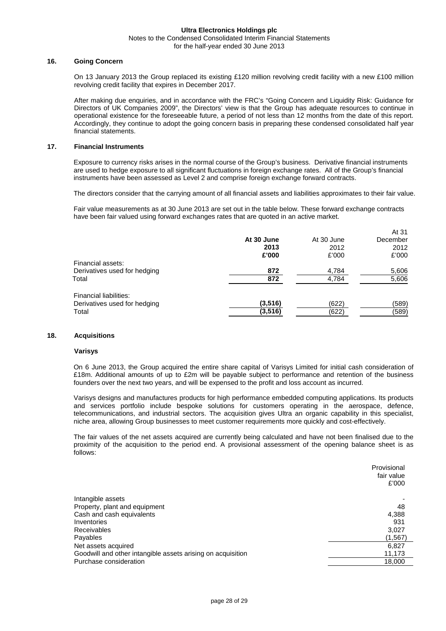#### **Ultra Electronics Holdings plc** Notes to the Condensed Consolidated Interim Financial Statements for the half-year ended 30 June 2013

## **16. Going Concern**

On 13 January 2013 the Group replaced its existing £120 million revolving credit facility with a new £100 million revolving credit facility that expires in December 2017.

After making due enquiries, and in accordance with the FRC's "Going Concern and Liquidity Risk: Guidance for Directors of UK Companies 2009", the Directors' view is that the Group has adequate resources to continue in operational existence for the foreseeable future, a period of not less than 12 months from the date of this report. Accordingly, they continue to adopt the going concern basis in preparing these condensed consolidated half year financial statements.

## **17. Financial Instruments**

Exposure to currency risks arises in the normal course of the Group's business. Derivative financial instruments are used to hedge exposure to all significant fluctuations in foreign exchange rates. All of the Group's financial instruments have been assessed as Level 2 and comprise foreign exchange forward contracts.

The directors consider that the carrying amount of all financial assets and liabilities approximates to their fair value.

 $A + 21$ 

Fair value measurements as at 30 June 2013 are set out in the table below. These forward exchange contracts have been fair valued using forward exchanges rates that are quoted in an active market.

|                              |            |            | <b>ALVI</b> |
|------------------------------|------------|------------|-------------|
|                              | At 30 June | At 30 June | December    |
|                              | 2013       | 2012       | 2012        |
|                              | £'000      | £'000      | £'000       |
| Financial assets:            |            |            |             |
| Derivatives used for hedging | 872        | 4,784      | 5,606       |
| Total                        | 872        | 4,784      | 5,606       |
| Financial liabilities:       |            |            |             |
| Derivatives used for hedging | (3, 516)   | (622)      | (589)       |
| Total                        | (3, 516)   |            |             |
|                              |            | (622)      | (589)       |
|                              |            |            |             |

#### **18. Acquisitions**

#### **Varisys**

On 6 June 2013, the Group acquired the entire share capital of Varisys Limited for initial cash consideration of £18m. Additional amounts of up to £2m will be payable subject to performance and retention of the business founders over the next two years, and will be expensed to the profit and loss account as incurred.

Varisys designs and manufactures products for high performance embedded computing applications. Its products and services portfolio include bespoke solutions for customers operating in the aerospace, defence, telecommunications, and industrial sectors. The acquisition gives Ultra an organic capability in this specialist, niche area, allowing Group businesses to meet customer requirements more quickly and cost-effectively.

The fair values of the net assets acquired are currently being calculated and have not been finalised due to the proximity of the acquisition to the period end. A provisional assessment of the opening balance sheet is as follows:

|                                                             | Provisional<br>fair value<br>£'000 |
|-------------------------------------------------------------|------------------------------------|
| Intangible assets                                           |                                    |
| Property, plant and equipment                               | 48                                 |
| Cash and cash equivalents                                   | 4,388                              |
| Inventories                                                 | 931                                |
| Receivables                                                 | 3,027                              |
| Payables                                                    | (1, 567)                           |
| Net assets acquired                                         | 6.827                              |
| Goodwill and other intangible assets arising on acquisition | 11,173                             |
| Purchase consideration                                      | 18,000                             |
|                                                             |                                    |